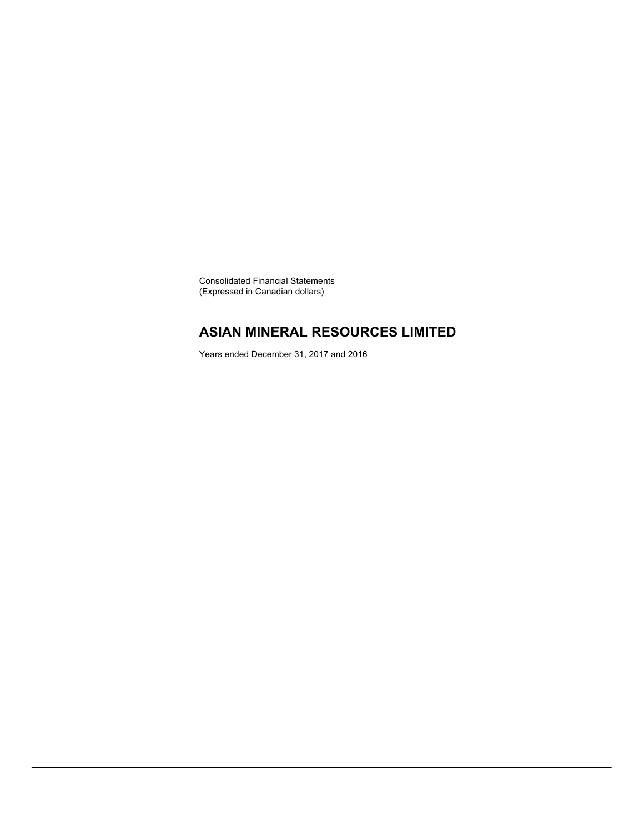Consolidated Financial Statements (Expressed in Canadian dollars)

### **ASIAN MINERAL RESOURCES LIMITED**

Years ended December 31, 2017 and 2016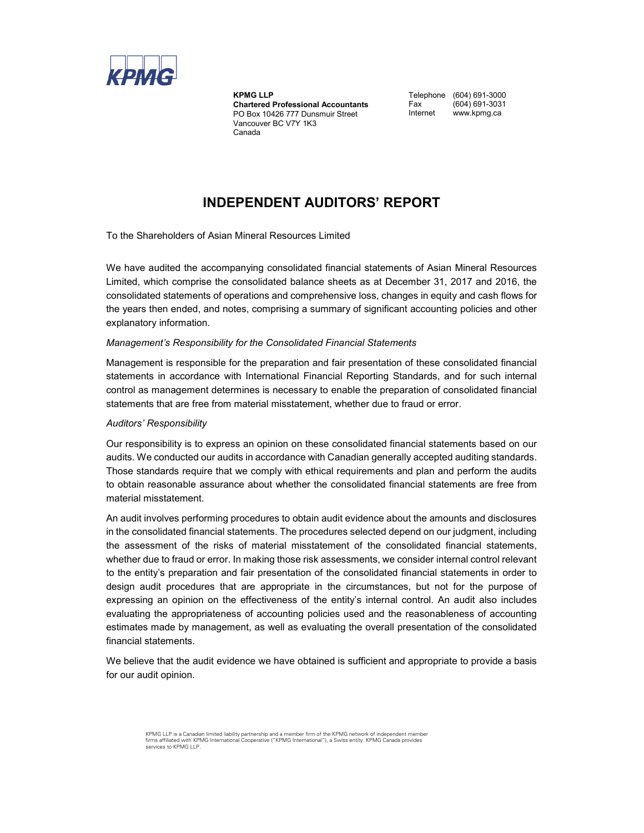

**KPMG LLP Chartered Professional Accountants** PO Box 10426 777 Dunsmuir Street Vancouver BC V7Y 1K3 Canada

Telephone (604) 691-3000 Fax (604) 691-3031 Internet www.kpmg.ca

### **INDEPENDENT AUDITORS' REPORT**

To the Shareholders of Asian Mineral Resources Limited

We have audited the accompanying consolidated financial statements of Asian Mineral Resources Limited, which comprise the consolidated balance sheets as at December 31, 2017 and 2016, the consolidated statements of operations and comprehensive loss, changes in equity and cash flows for the years then ended, and notes, comprising a summary of significant accounting policies and other explanatory information.

### *Management's Responsibility for the Consolidated Financial Statements*

Management is responsible for the preparation and fair presentation of these consolidated financial statements in accordance with International Financial Reporting Standards, and for such internal control as management determines is necessary to enable the preparation of consolidated financial statements that are free from material misstatement, whether due to fraud or error.

#### *Auditors' Responsibility*

Our responsibility is to express an opinion on these consolidated financial statements based on our audits. We conducted our audits in accordance with Canadian generally accepted auditing standards. Those standards require that we comply with ethical requirements and plan and perform the audits to obtain reasonable assurance about whether the consolidated financial statements are free from material misstatement.

An audit involves performing procedures to obtain audit evidence about the amounts and disclosures in the consolidated financial statements. The procedures selected depend on our judgment, including the assessment of the risks of material misstatement of the consolidated financial statements, whether due to fraud or error. In making those risk assessments, we consider internal control relevant to the entity's preparation and fair presentation of the consolidated financial statements in order to design audit procedures that are appropriate in the circumstances, but not for the purpose of expressing an opinion on the effectiveness of the entity's internal control. An audit also includes evaluating the appropriateness of accounting policies used and the reasonableness of accounting estimates made by management, as well as evaluating the overall presentation of the consolidated financial statements.

We believe that the audit evidence we have obtained is sufficient and appropriate to provide a basis for our audit opinion.

KPMG LLP is a Canadian limited liability partnership and a member firm of the KPMG network of independent member firms affiliated with KPMG International Cooperative ("KPMG International"), a Swiss entity. KPMG Canada provides services to KPMG LLP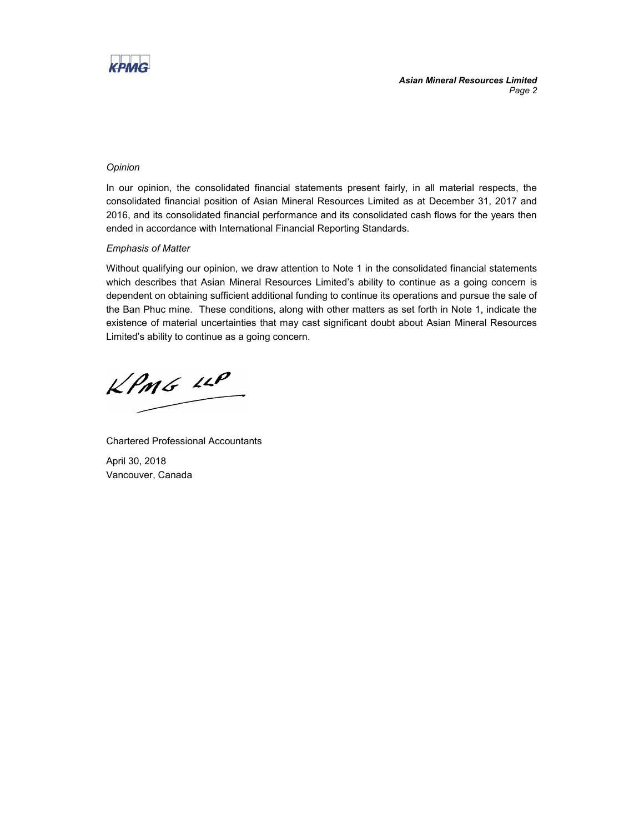

### *Opinion*

In our opinion, the consolidated financial statements present fairly, in all material respects, the consolidated financial position of Asian Mineral Resources Limited as at December 31, 2017 and 2016, and its consolidated financial performance and its consolidated cash flows for the years then ended in accordance with International Financial Reporting Standards.

### *Emphasis of Matter*

Without qualifying our opinion, we draw attention to Note 1 in the consolidated financial statements which describes that Asian Mineral Resources Limited's ability to continue as a going concern is dependent on obtaining sufficient additional funding to continue its operations and pursue the sale of the Ban Phuc mine. These conditions, along with other matters as set forth in Note 1, indicate the existence of material uncertainties that may cast significant doubt about Asian Mineral Resources Limited's ability to continue as a going concern.

 $KPMG$  11P

Chartered Professional Accountants April 30, 2018 Vancouver, Canada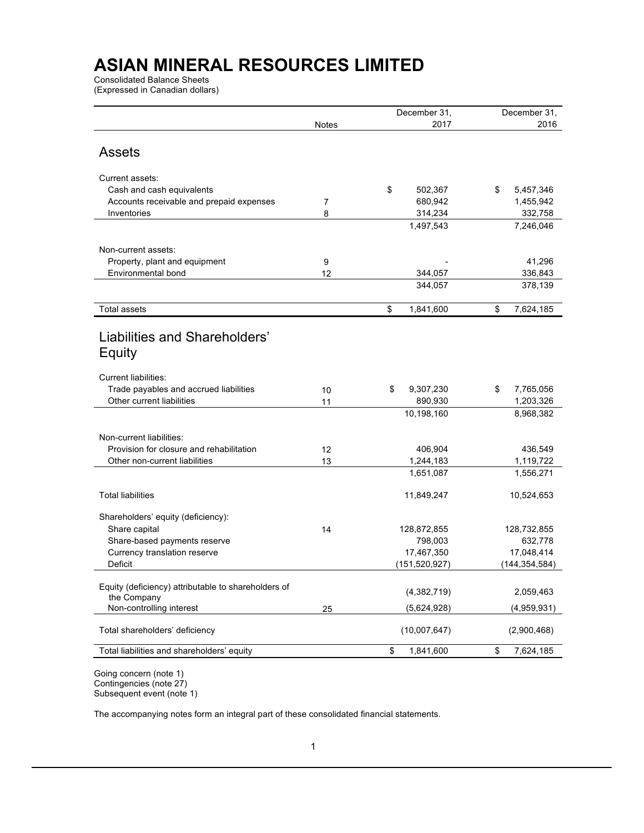Consolidated Balance Sheets (Expressed in Canadian dollars)

|                                                                    |                | December 31,    | December 31,    |
|--------------------------------------------------------------------|----------------|-----------------|-----------------|
|                                                                    | Notes          | 2017            | 2016            |
| <b>Assets</b>                                                      |                |                 |                 |
| Current assets:                                                    |                |                 |                 |
| Cash and cash equivalents                                          |                | \$<br>502,367   | 5,457,346<br>\$ |
| Accounts receivable and prepaid expenses                           | $\overline{7}$ | 680,942         | 1,455,942       |
| Inventories                                                        | 8              | 314,234         | 332,758         |
|                                                                    |                | 1,497,543       | 7,246,046       |
| Non-current assets:                                                |                |                 |                 |
| Property, plant and equipment                                      | 9              |                 | 41,296          |
| Environmental bond                                                 | 12             | 344,057         | 336,843         |
|                                                                    |                | 344,057         | 378,139         |
| <b>Total assets</b>                                                |                | \$<br>1,841,600 | \$<br>7,624,185 |
|                                                                    |                |                 |                 |
| Liabilities and Shareholders'                                      |                |                 |                 |
| Equity                                                             |                |                 |                 |
| Current liabilities:                                               |                |                 |                 |
| Trade payables and accrued liabilities                             | 10             | \$<br>9,307,230 | \$<br>7,765,056 |
| Other current liabilities                                          | 11             | 890,930         | 1,203,326       |
|                                                                    |                | 10,198,160      | 8,968,382       |
| Non-current liabilities:                                           |                |                 |                 |
| Provision for closure and rehabilitation                           | 12             | 406,904         | 436,549         |
| Other non-current liabilities                                      | 13             | 1,244,183       | 1,119,722       |
|                                                                    |                | 1,651,087       | 1,556,271       |
| <b>Total liabilities</b>                                           |                | 11,849,247      | 10,524,653      |
| Shareholders' equity (deficiency):                                 |                |                 |                 |
| Share capital                                                      | 14             | 128,872,855     | 128,732,855     |
| Share-based payments reserve                                       |                | 798,003         | 632,778         |
| Currency translation reserve                                       |                | 17,467,350      | 17,048,414      |
| Deficit                                                            |                | (151, 520, 927) | (144, 354, 584) |
|                                                                    |                |                 |                 |
| Equity (deficiency) attributable to shareholders of<br>the Company |                | (4,382,719)     | 2,059,463       |
| Non-controlling interest                                           | 25             | (5,624,928)     | (4,959,931)     |
| Total shareholders' deficiency                                     |                | (10,007,647)    | (2,900,468)     |
| Total liabilities and shareholders' equity                         |                | \$<br>1,841,600 | \$<br>7,624,185 |
|                                                                    |                |                 |                 |

Going concern (note 1) Contingencies (note 27) Subsequent event (note 1)

The accompanying notes form an integral part of these consolidated financial statements.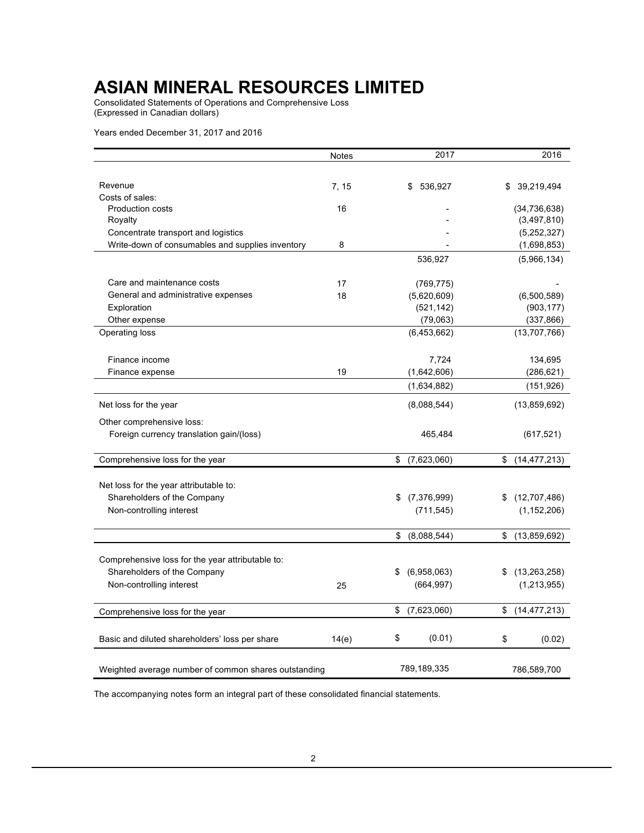Consolidated Statements of Operations and Comprehensive Loss (Expressed in Canadian dollars)

Years ended December 31, 2017 and 2016

|                                                      | <b>Notes</b> |    | 2017          | 2016                 |
|------------------------------------------------------|--------------|----|---------------|----------------------|
|                                                      |              |    |               |                      |
| Revenue                                              | 7, 15        |    | \$<br>536,927 | \$<br>39,219,494     |
| Costs of sales:                                      |              |    |               |                      |
| <b>Production costs</b>                              | 16           |    |               | (34, 736, 638)       |
| Royalty                                              |              |    |               | (3,497,810)          |
| Concentrate transport and logistics                  |              |    |               | (5,252,327)          |
| Write-down of consumables and supplies inventory     | 8            |    |               | (1,698,853)          |
|                                                      |              |    | 536,927       | (5,966,134)          |
|                                                      |              |    |               |                      |
| Care and maintenance costs                           | 17           |    | (769, 775)    |                      |
| General and administrative expenses                  | 18           |    | (5,620,609)   | (6,500,589)          |
| Exploration                                          |              |    | (521, 142)    | (903, 177)           |
| Other expense                                        |              |    | (79,063)      | (337, 866)           |
| Operating loss                                       |              |    | (6,453,662)   | (13,707,766)         |
|                                                      |              |    |               |                      |
| Finance income                                       |              |    | 7,724         | 134,695              |
| Finance expense                                      | 19           |    | (1,642,606)   | (286, 621)           |
|                                                      |              |    | (1,634,882)   | (151, 926)           |
|                                                      |              |    |               |                      |
| Net loss for the year                                |              |    | (8,088,544)   | (13,859,692)         |
| Other comprehensive loss:                            |              |    |               |                      |
| Foreign currency translation gain/(loss)             |              |    | 465,484       | (617, 521)           |
|                                                      |              |    |               |                      |
| Comprehensive loss for the year                      |              | \$ | (7,623,060)   | \$<br>(14, 477, 213) |
|                                                      |              |    |               |                      |
| Net loss for the year attributable to:               |              |    |               |                      |
| Shareholders of the Company                          |              | S  | (7,376,999)   | \$(12,707,486)       |
| Non-controlling interest                             |              |    | (711, 545)    | (1, 152, 206)        |
|                                                      |              |    |               |                      |
|                                                      |              | \$ | (8,088,544)   | \$<br>(13, 859, 692) |
|                                                      |              |    |               |                      |
| Comprehensive loss for the year attributable to:     |              |    |               |                      |
| Shareholders of the Company                          |              | \$ | (6,958,063)   | \$<br>(13, 263, 258) |
| Non-controlling interest                             | 25           |    | (664, 997)    | (1, 213, 955)        |
|                                                      |              |    |               |                      |
| Comprehensive loss for the year                      |              | \$ | (7,623,060)   | \$<br>(14, 477, 213) |
|                                                      |              |    |               |                      |
| Basic and diluted shareholders' loss per share       | 14(e)        | \$ | (0.01)        | \$<br>(0.02)         |
|                                                      |              |    |               |                      |
|                                                      |              |    | 789,189,335   |                      |
| Weighted average number of common shares outstanding |              |    |               | 786,589,700          |

The accompanying notes form an integral part of these consolidated financial statements.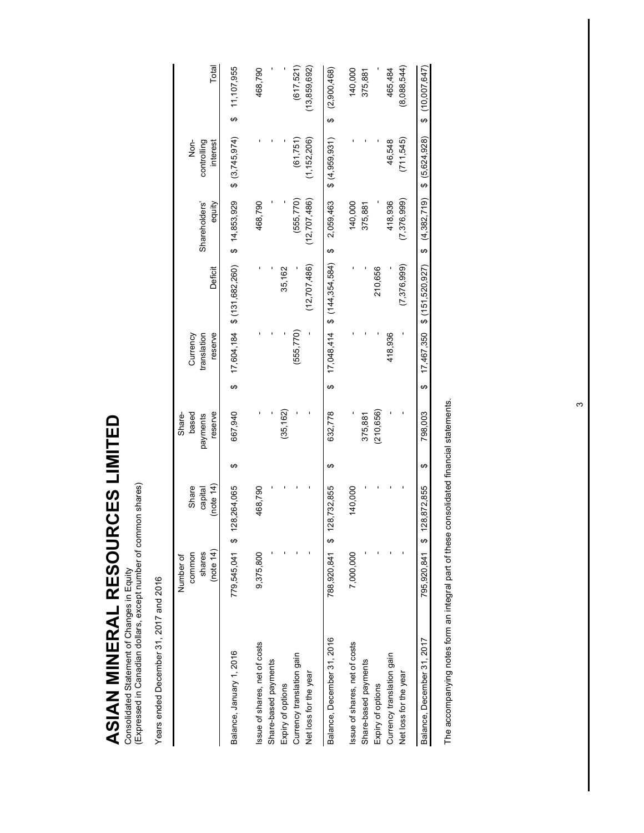Consolidated Statement of Changes in Equity<br>(Expressed in Canadian dollars, except number of common shares) (Expressed in Canadian dollars, except number of common shares) Consolidated Statement of Changes in Equity

**ASIAN MINERAL RESOURCES LIMITED**

ASIAN MINERAL RESOURCES LIMITED

Years ended December 31, 2017 and 2016 Years ended December 31, 2017 and 2016

| \$(10,007,647)   | \$ (5,624,928)                           | (4,382,719)<br>မာ                   | \$(151, 520, 927) | 17,467,350                         | ↔  | 798,003                                | ↔  | 28,872,855                    | ↔ | 795,920,841                                   | Balance, December 31, 2017    |
|------------------|------------------------------------------|-------------------------------------|-------------------|------------------------------------|----|----------------------------------------|----|-------------------------------|---|-----------------------------------------------|-------------------------------|
| (8,088,544)      | (711, 545)                               | (7,376,999)                         | (7, 376, 999)     |                                    |    |                                        |    |                               |   |                                               | Net loss for the year         |
| 465,484          | 46,548                                   | 418,936                             |                   | 418,936                            |    |                                        |    |                               |   |                                               | Currency translation gain     |
|                  |                                          |                                     | 210,656           |                                    |    | (210, 656)                             |    |                               |   |                                               | Expiry of options             |
| 375,881          |                                          | 375,881                             |                   |                                    |    | 375,881                                |    |                               |   |                                               | Share-based payments          |
| 140,000          |                                          | 140,000                             |                   |                                    |    |                                        |    | 140,000                       |   | 7,000,000                                     | Issue of shares, net of costs |
| (2,900,468)<br>ക | \$(4,959,931)                            | 2,059,463<br>$\boldsymbol{\varphi}$ | \$(144, 354, 584) | 17,048,414                         | မာ | 632,778                                | ക  | 28,732,855                    |   | 788,920,841 \$                                | Balance, December 31, 2016    |
| (13, 859, 692)   | (1, 152, 206)                            | (12, 707, 486)                      | (12, 707, 486)    |                                    |    |                                        |    |                               |   |                                               | Net loss for the year         |
| (617,521)        | (61,751)                                 | (555,770)                           |                   | (555,770)                          |    |                                        |    |                               |   |                                               | Currency translation gain     |
|                  |                                          |                                     | 35,162            |                                    |    | (35, 162)                              |    |                               |   |                                               | Expiry of options             |
|                  |                                          |                                     |                   |                                    |    |                                        |    |                               |   |                                               | Share-based payments          |
| 468,790          |                                          | 468,790                             |                   |                                    |    |                                        |    | 468,790                       |   | 9,375,800                                     | ssue of shares, net of costs  |
| 11,107,955<br>မာ | $$$ (3,745,974)                          | \$74,853,929                        | \$(131, 682, 260) | 17,604,184                         | ↮  | 667,940                                | မာ | 28,264,065                    |   | $779,545,041$ \$                              | Balance, January 1, 2016      |
| Total            | controlling<br>$\frac{1}{2}$<br>interest | Shareholders'<br>equity             | Deficit           | reserve<br>translation<br>Currency |    | reserve<br>based<br>Share-<br>payments |    | (note 14)<br>Share<br>capital |   | (note $14$ )<br>common<br>shares<br>Number of |                               |

The accompanying notes form an integral part of these consolidated financial statements. The accompanying notes form an integral part of these consolidated financial statements.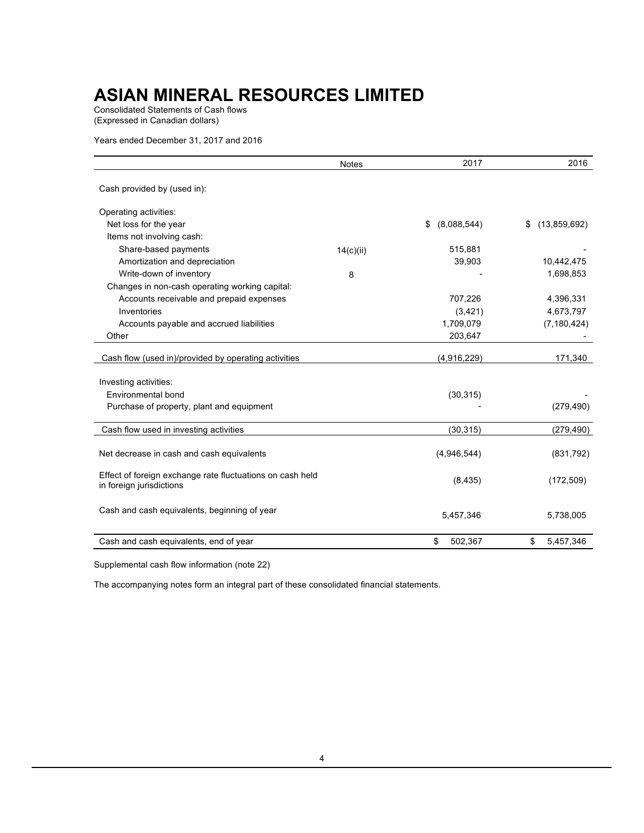Consolidated Statements of Cash flows (Expressed in Canadian dollars)

Years ended December 31, 2017 and 2016

|                                                                                       | <b>Notes</b> | 2017              | 2016               |
|---------------------------------------------------------------------------------------|--------------|-------------------|--------------------|
| Cash provided by (used in):                                                           |              |                   |                    |
| Operating activities:                                                                 |              |                   |                    |
| Net loss for the year                                                                 |              | \$<br>(8,088,544) | (13,859,692)<br>\$ |
| Items not involving cash:                                                             |              |                   |                    |
| Share-based payments                                                                  | 14(c)(ii)    | 515,881           |                    |
| Amortization and depreciation                                                         |              | 39,903            | 10,442,475         |
| Write-down of inventory                                                               | 8            |                   | 1,698,853          |
| Changes in non-cash operating working capital:                                        |              |                   |                    |
| Accounts receivable and prepaid expenses                                              |              | 707,226           | 4,396,331          |
| Inventories                                                                           |              | (3,421)           | 4,673,797          |
| Accounts payable and accrued liabilities                                              |              | 1,709,079         | (7, 180, 424)      |
| Other                                                                                 |              | 203,647           |                    |
| Cash flow (used in)/provided by operating activities                                  |              | (4,916,229)       | 171,340            |
|                                                                                       |              |                   |                    |
| Investing activities:                                                                 |              |                   |                    |
| Environmental bond                                                                    |              | (30, 315)         |                    |
| Purchase of property, plant and equipment                                             |              |                   | (279, 490)         |
| Cash flow used in investing activities                                                |              | (30, 315)         | (279, 490)         |
|                                                                                       |              |                   |                    |
| Net decrease in cash and cash equivalents                                             |              | (4,946,544)       | (831, 792)         |
| Effect of foreign exchange rate fluctuations on cash held<br>in foreign jurisdictions |              | (8, 435)          | (172, 509)         |
| Cash and cash equivalents, beginning of year                                          |              | 5,457,346         | 5,738,005          |
| Cash and cash equivalents, end of year                                                |              | \$<br>502,367     | \$<br>5,457,346    |

Supplemental cash flow information (note 22)

The accompanying notes form an integral part of these consolidated financial statements.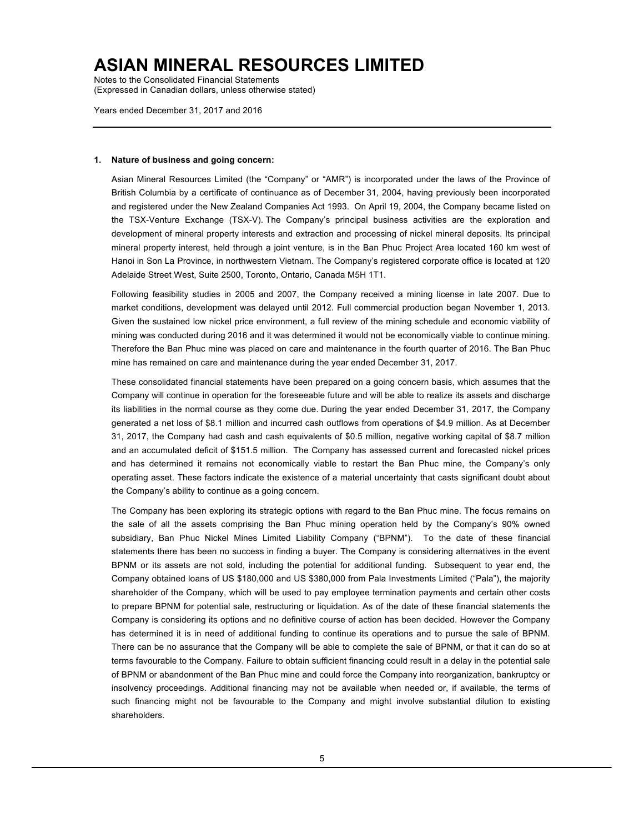Notes to the Consolidated Financial Statements (Expressed in Canadian dollars, unless otherwise stated)

Years ended December 31, 2017 and 2016

#### **1. Nature of business and going concern:**

Asian Mineral Resources Limited (the "Company" or "AMR") is incorporated under the laws of the Province of British Columbia by a certificate of continuance as of December 31, 2004, having previously been incorporated and registered under the New Zealand Companies Act 1993. On April 19, 2004, the Company became listed on the TSX-Venture Exchange (TSX-V). The Company's principal business activities are the exploration and development of mineral property interests and extraction and processing of nickel mineral deposits. Its principal mineral property interest, held through a joint venture, is in the Ban Phuc Project Area located 160 km west of Hanoi in Son La Province, in northwestern Vietnam. The Company's registered corporate office is located at 120 Adelaide Street West, Suite 2500, Toronto, Ontario, Canada M5H 1T1.

Following feasibility studies in 2005 and 2007, the Company received a mining license in late 2007. Due to market conditions, development was delayed until 2012. Full commercial production began November 1, 2013. Given the sustained low nickel price environment, a full review of the mining schedule and economic viability of mining was conducted during 2016 and it was determined it would not be economically viable to continue mining. Therefore the Ban Phuc mine was placed on care and maintenance in the fourth quarter of 2016. The Ban Phuc mine has remained on care and maintenance during the year ended December 31, 2017.

These consolidated financial statements have been prepared on a going concern basis, which assumes that the Company will continue in operation for the foreseeable future and will be able to realize its assets and discharge its liabilities in the normal course as they come due. During the year ended December 31, 2017, the Company generated a net loss of \$8.1 million and incurred cash outflows from operations of \$4.9 million. As at December 31, 2017, the Company had cash and cash equivalents of \$0.5 million, negative working capital of \$8.7 million and an accumulated deficit of \$151.5 million. The Company has assessed current and forecasted nickel prices and has determined it remains not economically viable to restart the Ban Phuc mine, the Company's only operating asset. These factors indicate the existence of a material uncertainty that casts significant doubt about the Company's ability to continue as a going concern.

The Company has been exploring its strategic options with regard to the Ban Phuc mine. The focus remains on the sale of all the assets comprising the Ban Phuc mining operation held by the Company's 90% owned subsidiary, Ban Phuc Nickel Mines Limited Liability Company ("BPNM"). To the date of these financial statements there has been no success in finding a buyer. The Company is considering alternatives in the event BPNM or its assets are not sold, including the potential for additional funding. Subsequent to year end, the Company obtained loans of US \$180,000 and US \$380,000 from Pala Investments Limited ("Pala"), the majority shareholder of the Company, which will be used to pay employee termination payments and certain other costs to prepare BPNM for potential sale, restructuring or liquidation. As of the date of these financial statements the Company is considering its options and no definitive course of action has been decided. However the Company has determined it is in need of additional funding to continue its operations and to pursue the sale of BPNM. There can be no assurance that the Company will be able to complete the sale of BPNM, or that it can do so at terms favourable to the Company. Failure to obtain sufficient financing could result in a delay in the potential sale of BPNM or abandonment of the Ban Phuc mine and could force the Company into reorganization, bankruptcy or insolvency proceedings. Additional financing may not be available when needed or, if available, the terms of such financing might not be favourable to the Company and might involve substantial dilution to existing shareholders.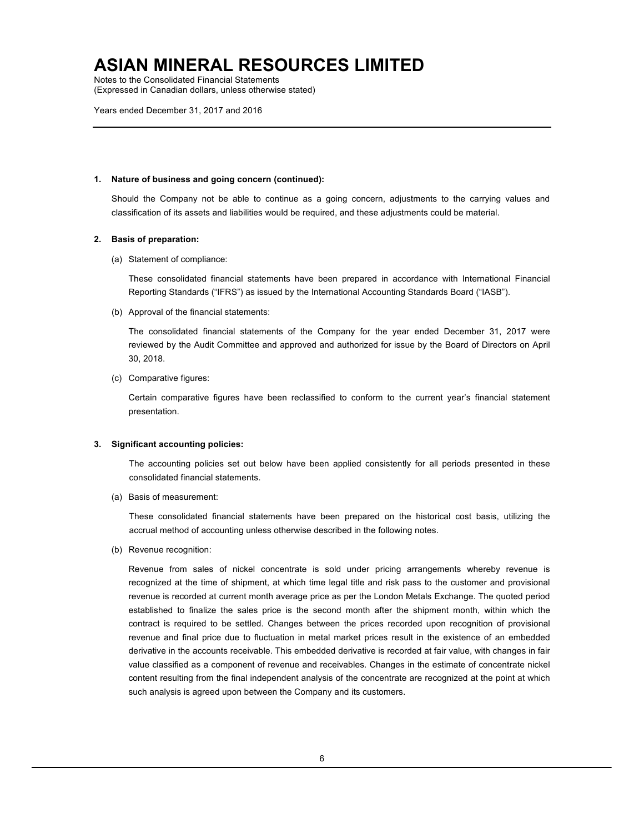Notes to the Consolidated Financial Statements (Expressed in Canadian dollars, unless otherwise stated)

Years ended December 31, 2017 and 2016

#### **1. Nature of business and going concern (continued):**

Should the Company not be able to continue as a going concern, adjustments to the carrying values and classification of its assets and liabilities would be required, and these adjustments could be material.

#### **2. Basis of preparation:**

(a) Statement of compliance:

These consolidated financial statements have been prepared in accordance with International Financial Reporting Standards ("IFRS") as issued by the International Accounting Standards Board ("IASB").

(b) Approval of the financial statements:

The consolidated financial statements of the Company for the year ended December 31, 2017 were reviewed by the Audit Committee and approved and authorized for issue by the Board of Directors on April 30, 2018.

(c) Comparative figures:

Certain comparative figures have been reclassified to conform to the current year's financial statement presentation.

#### **3. Significant accounting policies:**

The accounting policies set out below have been applied consistently for all periods presented in these consolidated financial statements.

(a) Basis of measurement:

These consolidated financial statements have been prepared on the historical cost basis, utilizing the accrual method of accounting unless otherwise described in the following notes.

(b) Revenue recognition:

Revenue from sales of nickel concentrate is sold under pricing arrangements whereby revenue is recognized at the time of shipment, at which time legal title and risk pass to the customer and provisional revenue is recorded at current month average price as per the London Metals Exchange. The quoted period established to finalize the sales price is the second month after the shipment month, within which the contract is required to be settled. Changes between the prices recorded upon recognition of provisional revenue and final price due to fluctuation in metal market prices result in the existence of an embedded derivative in the accounts receivable. This embedded derivative is recorded at fair value, with changes in fair value classified as a component of revenue and receivables. Changes in the estimate of concentrate nickel content resulting from the final independent analysis of the concentrate are recognized at the point at which such analysis is agreed upon between the Company and its customers.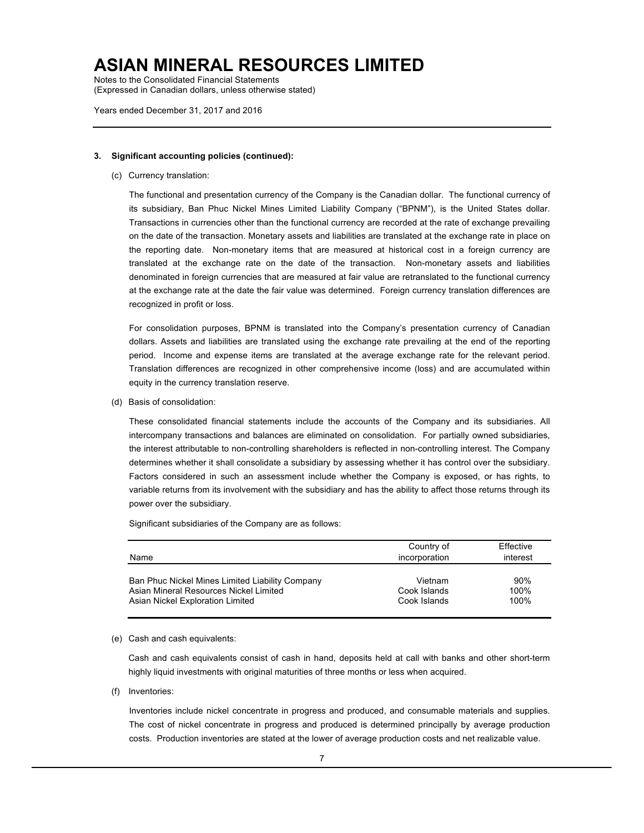Notes to the Consolidated Financial Statements (Expressed in Canadian dollars, unless otherwise stated)

Years ended December 31, 2017 and 2016

#### **3. Significant accounting policies (continued):**

(c) Currency translation:

The functional and presentation currency of the Company is the Canadian dollar. The functional currency of its subsidiary, Ban Phuc Nickel Mines Limited Liability Company ("BPNM"), is the United States dollar. Transactions in currencies other than the functional currency are recorded at the rate of exchange prevailing on the date of the transaction. Monetary assets and liabilities are translated at the exchange rate in place on the reporting date. Non-monetary items that are measured at historical cost in a foreign currency are translated at the exchange rate on the date of the transaction. Non-monetary assets and liabilities denominated in foreign currencies that are measured at fair value are retranslated to the functional currency at the exchange rate at the date the fair value was determined. Foreign currency translation differences are recognized in profit or loss.

For consolidation purposes, BPNM is translated into the Company's presentation currency of Canadian dollars. Assets and liabilities are translated using the exchange rate prevailing at the end of the reporting period. Income and expense items are translated at the average exchange rate for the relevant period. Translation differences are recognized in other comprehensive income (loss) and are accumulated within equity in the currency translation reserve.

(d) Basis of consolidation:

These consolidated financial statements include the accounts of the Company and its subsidiaries. All intercompany transactions and balances are eliminated on consolidation. For partially owned subsidiaries, the interest attributable to non-controlling shareholders is reflected in non-controlling interest. The Company determines whether it shall consolidate a subsidiary by assessing whether it has control over the subsidiary. Factors considered in such an assessment include whether the Company is exposed, or has rights, to variable returns from its involvement with the subsidiary and has the ability to affect those returns through its power over the subsidiary.

Significant subsidiaries of the Company are as follows:

| Name                                            | Country of<br>incorporation | Effective<br>interest |
|-------------------------------------------------|-----------------------------|-----------------------|
| Ban Phuc Nickel Mines Limited Liability Company | Vietnam                     | 90%                   |
| Asian Mineral Resources Nickel Limited          | Cook Islands                | 100%                  |
| Asian Nickel Exploration Limited                | Cook Islands                | 100%                  |

#### (e) Cash and cash equivalents:

Cash and cash equivalents consist of cash in hand, deposits held at call with banks and other short-term highly liquid investments with original maturities of three months or less when acquired.

(f) Inventories:

Inventories include nickel concentrate in progress and produced, and consumable materials and supplies. The cost of nickel concentrate in progress and produced is determined principally by average production costs. Production inventories are stated at the lower of average production costs and net realizable value.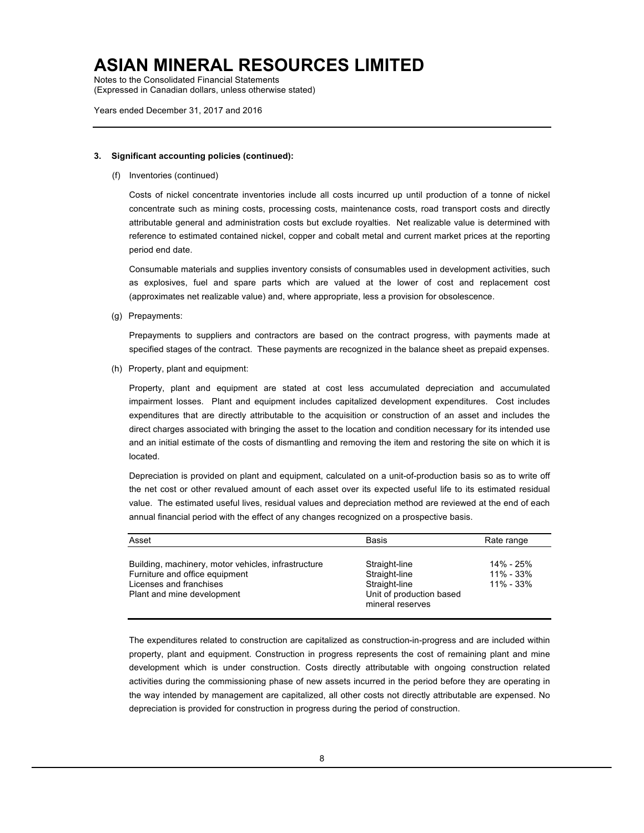Notes to the Consolidated Financial Statements (Expressed in Canadian dollars, unless otherwise stated)

Years ended December 31, 2017 and 2016

#### **3. Significant accounting policies (continued):**

(f) Inventories (continued)

Costs of nickel concentrate inventories include all costs incurred up until production of a tonne of nickel concentrate such as mining costs, processing costs, maintenance costs, road transport costs and directly attributable general and administration costs but exclude royalties. Net realizable value is determined with reference to estimated contained nickel, copper and cobalt metal and current market prices at the reporting period end date.

Consumable materials and supplies inventory consists of consumables used in development activities, such as explosives, fuel and spare parts which are valued at the lower of cost and replacement cost (approximates net realizable value) and, where appropriate, less a provision for obsolescence.

(g) Prepayments:

Prepayments to suppliers and contractors are based on the contract progress, with payments made at specified stages of the contract. These payments are recognized in the balance sheet as prepaid expenses.

(h) Property, plant and equipment:

Property, plant and equipment are stated at cost less accumulated depreciation and accumulated impairment losses. Plant and equipment includes capitalized development expenditures. Cost includes expenditures that are directly attributable to the acquisition or construction of an asset and includes the direct charges associated with bringing the asset to the location and condition necessary for its intended use and an initial estimate of the costs of dismantling and removing the item and restoring the site on which it is located.

Depreciation is provided on plant and equipment, calculated on a unit-of-production basis so as to write off the net cost or other revalued amount of each asset over its expected useful life to its estimated residual value. The estimated useful lives, residual values and depreciation method are reviewed at the end of each annual financial period with the effect of any changes recognized on a prospective basis.

| Asset                                               | Basis                    | Rate range    |
|-----------------------------------------------------|--------------------------|---------------|
|                                                     |                          |               |
| Building, machinery, motor vehicles, infrastructure | Straight-line            | 14% - 25%     |
| Furniture and office equipment                      | Straight-line            | 11% - 33%     |
| Licenses and franchises                             | Straight-line            | $11\% - 33\%$ |
| Plant and mine development                          | Unit of production based |               |
|                                                     | mineral reserves         |               |

The expenditures related to construction are capitalized as construction-in-progress and are included within property, plant and equipment. Construction in progress represents the cost of remaining plant and mine development which is under construction. Costs directly attributable with ongoing construction related activities during the commissioning phase of new assets incurred in the period before they are operating in the way intended by management are capitalized, all other costs not directly attributable are expensed. No depreciation is provided for construction in progress during the period of construction.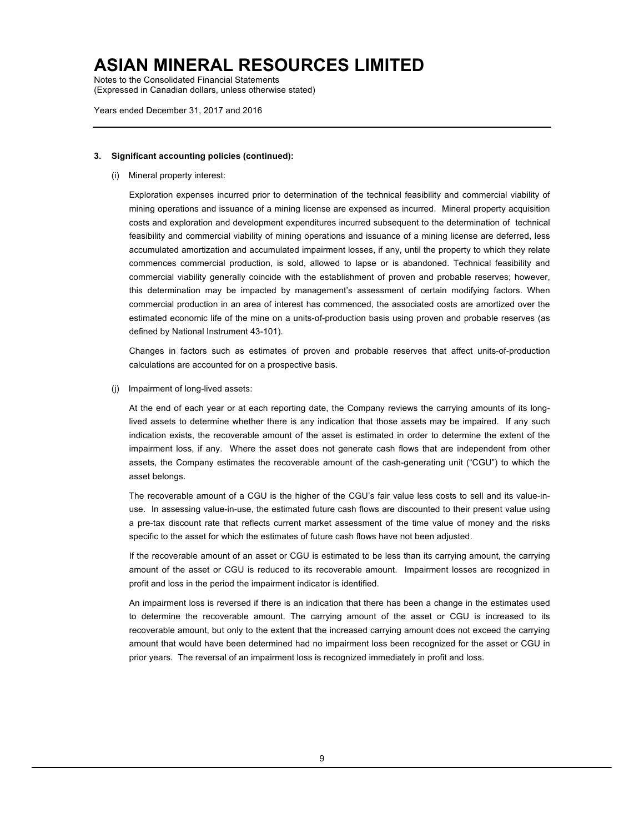Notes to the Consolidated Financial Statements (Expressed in Canadian dollars, unless otherwise stated)

Years ended December 31, 2017 and 2016

#### **3. Significant accounting policies (continued):**

(i) Mineral property interest:

Exploration expenses incurred prior to determination of the technical feasibility and commercial viability of mining operations and issuance of a mining license are expensed as incurred. Mineral property acquisition costs and exploration and development expenditures incurred subsequent to the determination of technical feasibility and commercial viability of mining operations and issuance of a mining license are deferred, less accumulated amortization and accumulated impairment losses, if any, until the property to which they relate commences commercial production, is sold, allowed to lapse or is abandoned. Technical feasibility and commercial viability generally coincide with the establishment of proven and probable reserves; however, this determination may be impacted by management's assessment of certain modifying factors. When commercial production in an area of interest has commenced, the associated costs are amortized over the estimated economic life of the mine on a units-of-production basis using proven and probable reserves (as defined by National Instrument 43-101).

Changes in factors such as estimates of proven and probable reserves that affect units-of-production calculations are accounted for on a prospective basis.

(j) Impairment of long-lived assets:

At the end of each year or at each reporting date, the Company reviews the carrying amounts of its longlived assets to determine whether there is any indication that those assets may be impaired. If any such indication exists, the recoverable amount of the asset is estimated in order to determine the extent of the impairment loss, if any. Where the asset does not generate cash flows that are independent from other assets, the Company estimates the recoverable amount of the cash-generating unit ("CGU") to which the asset belongs.

The recoverable amount of a CGU is the higher of the CGU's fair value less costs to sell and its value-inuse. In assessing value-in-use, the estimated future cash flows are discounted to their present value using a pre-tax discount rate that reflects current market assessment of the time value of money and the risks specific to the asset for which the estimates of future cash flows have not been adjusted.

If the recoverable amount of an asset or CGU is estimated to be less than its carrying amount, the carrying amount of the asset or CGU is reduced to its recoverable amount. Impairment losses are recognized in profit and loss in the period the impairment indicator is identified.

An impairment loss is reversed if there is an indication that there has been a change in the estimates used to determine the recoverable amount. The carrying amount of the asset or CGU is increased to its recoverable amount, but only to the extent that the increased carrying amount does not exceed the carrying amount that would have been determined had no impairment loss been recognized for the asset or CGU in prior years. The reversal of an impairment loss is recognized immediately in profit and loss.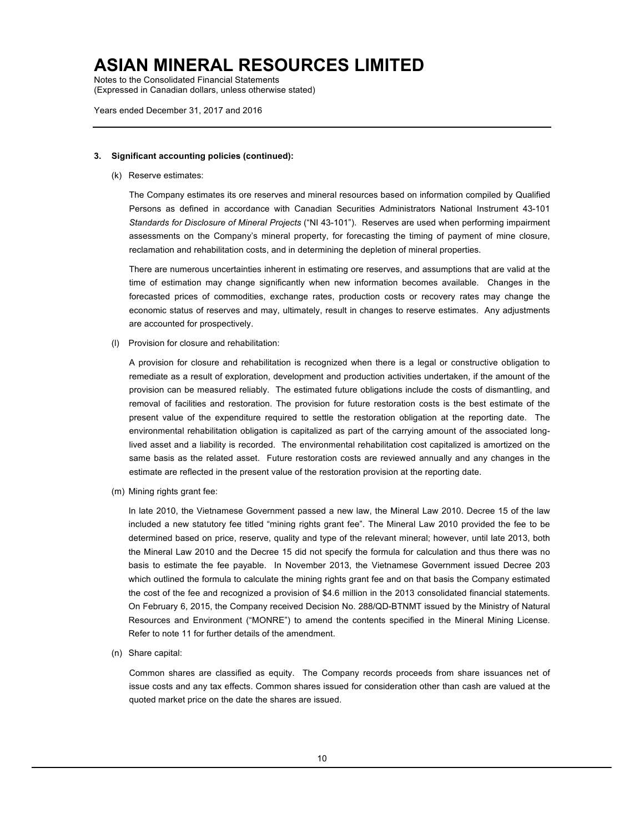Notes to the Consolidated Financial Statements (Expressed in Canadian dollars, unless otherwise stated)

Years ended December 31, 2017 and 2016

#### **3. Significant accounting policies (continued):**

(k) Reserve estimates:

The Company estimates its ore reserves and mineral resources based on information compiled by Qualified Persons as defined in accordance with Canadian Securities Administrators National Instrument 43-101 *Standards for Disclosure of Mineral Projects* ("NI 43-101"). Reserves are used when performing impairment assessments on the Company's mineral property, for forecasting the timing of payment of mine closure, reclamation and rehabilitation costs, and in determining the depletion of mineral properties.

There are numerous uncertainties inherent in estimating ore reserves, and assumptions that are valid at the time of estimation may change significantly when new information becomes available. Changes in the forecasted prices of commodities, exchange rates, production costs or recovery rates may change the economic status of reserves and may, ultimately, result in changes to reserve estimates. Any adjustments are accounted for prospectively.

(l) Provision for closure and rehabilitation:

A provision for closure and rehabilitation is recognized when there is a legal or constructive obligation to remediate as a result of exploration, development and production activities undertaken, if the amount of the provision can be measured reliably. The estimated future obligations include the costs of dismantling, and removal of facilities and restoration. The provision for future restoration costs is the best estimate of the present value of the expenditure required to settle the restoration obligation at the reporting date. The environmental rehabilitation obligation is capitalized as part of the carrying amount of the associated longlived asset and a liability is recorded. The environmental rehabilitation cost capitalized is amortized on the same basis as the related asset. Future restoration costs are reviewed annually and any changes in the estimate are reflected in the present value of the restoration provision at the reporting date.

(m) Mining rights grant fee:

In late 2010, the Vietnamese Government passed a new law, the Mineral Law 2010. Decree 15 of the law included a new statutory fee titled "mining rights grant fee". The Mineral Law 2010 provided the fee to be determined based on price, reserve, quality and type of the relevant mineral; however, until late 2013, both the Mineral Law 2010 and the Decree 15 did not specify the formula for calculation and thus there was no basis to estimate the fee payable. In November 2013, the Vietnamese Government issued Decree 203 which outlined the formula to calculate the mining rights grant fee and on that basis the Company estimated the cost of the fee and recognized a provision of \$4.6 million in the 2013 consolidated financial statements. On February 6, 2015, the Company received Decision No. 288/QD-BTNMT issued by the Ministry of Natural Resources and Environment ("MONRE") to amend the contents specified in the Mineral Mining License. Refer to note 11 for further details of the amendment.

(n) Share capital:

Common shares are classified as equity. The Company records proceeds from share issuances net of issue costs and any tax effects. Common shares issued for consideration other than cash are valued at the quoted market price on the date the shares are issued.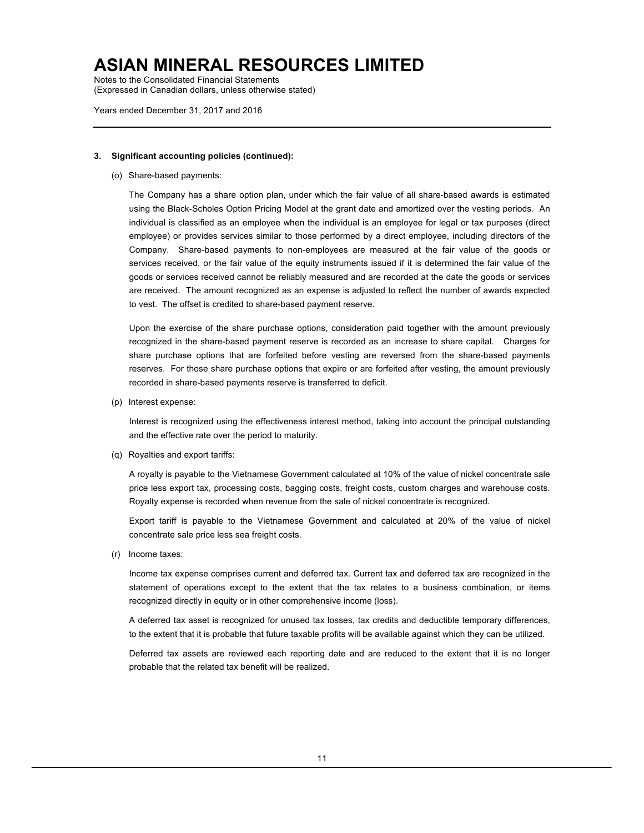Notes to the Consolidated Financial Statements (Expressed in Canadian dollars, unless otherwise stated)

Years ended December 31, 2017 and 2016

#### **3. Significant accounting policies (continued):**

(o) Share-based payments:

The Company has a share option plan, under which the fair value of all share-based awards is estimated using the Black-Scholes Option Pricing Model at the grant date and amortized over the vesting periods. An individual is classified as an employee when the individual is an employee for legal or tax purposes (direct employee) or provides services similar to those performed by a direct employee, including directors of the Company. Share-based payments to non-employees are measured at the fair value of the goods or services received, or the fair value of the equity instruments issued if it is determined the fair value of the goods or services received cannot be reliably measured and are recorded at the date the goods or services are received. The amount recognized as an expense is adjusted to reflect the number of awards expected to vest. The offset is credited to share-based payment reserve.

Upon the exercise of the share purchase options, consideration paid together with the amount previously recognized in the share-based payment reserve is recorded as an increase to share capital. Charges for share purchase options that are forfeited before vesting are reversed from the share-based payments reserves. For those share purchase options that expire or are forfeited after vesting, the amount previously recorded in share-based payments reserve is transferred to deficit.

(p) Interest expense:

Interest is recognized using the effectiveness interest method, taking into account the principal outstanding and the effective rate over the period to maturity.

(q) Royalties and export tariffs:

A royalty is payable to the Vietnamese Government calculated at 10% of the value of nickel concentrate sale price less export tax, processing costs, bagging costs, freight costs, custom charges and warehouse costs. Royalty expense is recorded when revenue from the sale of nickel concentrate is recognized.

Export tariff is payable to the Vietnamese Government and calculated at 20% of the value of nickel concentrate sale price less sea freight costs.

(r) Income taxes:

Income tax expense comprises current and deferred tax. Current tax and deferred tax are recognized in the statement of operations except to the extent that the tax relates to a business combination, or items recognized directly in equity or in other comprehensive income (loss).

A deferred tax asset is recognized for unused tax losses, tax credits and deductible temporary differences, to the extent that it is probable that future taxable profits will be available against which they can be utilized.

Deferred tax assets are reviewed each reporting date and are reduced to the extent that it is no longer probable that the related tax benefit will be realized.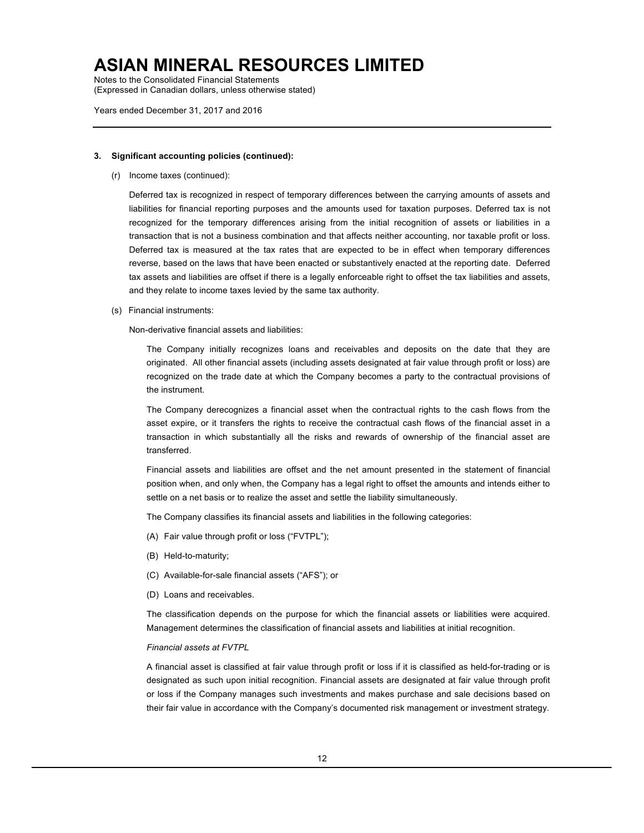Notes to the Consolidated Financial Statements (Expressed in Canadian dollars, unless otherwise stated)

Years ended December 31, 2017 and 2016

#### **3. Significant accounting policies (continued):**

(r) Income taxes (continued):

Deferred tax is recognized in respect of temporary differences between the carrying amounts of assets and liabilities for financial reporting purposes and the amounts used for taxation purposes. Deferred tax is not recognized for the temporary differences arising from the initial recognition of assets or liabilities in a transaction that is not a business combination and that affects neither accounting, nor taxable profit or loss. Deferred tax is measured at the tax rates that are expected to be in effect when temporary differences reverse, based on the laws that have been enacted or substantively enacted at the reporting date. Deferred tax assets and liabilities are offset if there is a legally enforceable right to offset the tax liabilities and assets, and they relate to income taxes levied by the same tax authority.

(s) Financial instruments:

Non-derivative financial assets and liabilities:

The Company initially recognizes loans and receivables and deposits on the date that they are originated. All other financial assets (including assets designated at fair value through profit or loss) are recognized on the trade date at which the Company becomes a party to the contractual provisions of the instrument.

The Company derecognizes a financial asset when the contractual rights to the cash flows from the asset expire, or it transfers the rights to receive the contractual cash flows of the financial asset in a transaction in which substantially all the risks and rewards of ownership of the financial asset are transferred.

Financial assets and liabilities are offset and the net amount presented in the statement of financial position when, and only when, the Company has a legal right to offset the amounts and intends either to settle on a net basis or to realize the asset and settle the liability simultaneously.

The Company classifies its financial assets and liabilities in the following categories:

- (A) Fair value through profit or loss ("FVTPL");
- (B) Held-to-maturity;
- (C) Available-for-sale financial assets ("AFS"); or
- (D) Loans and receivables.

The classification depends on the purpose for which the financial assets or liabilities were acquired. Management determines the classification of financial assets and liabilities at initial recognition.

### *Financial assets at FVTPL*

A financial asset is classified at fair value through profit or loss if it is classified as held-for-trading or is designated as such upon initial recognition. Financial assets are designated at fair value through profit or loss if the Company manages such investments and makes purchase and sale decisions based on their fair value in accordance with the Company's documented risk management or investment strategy.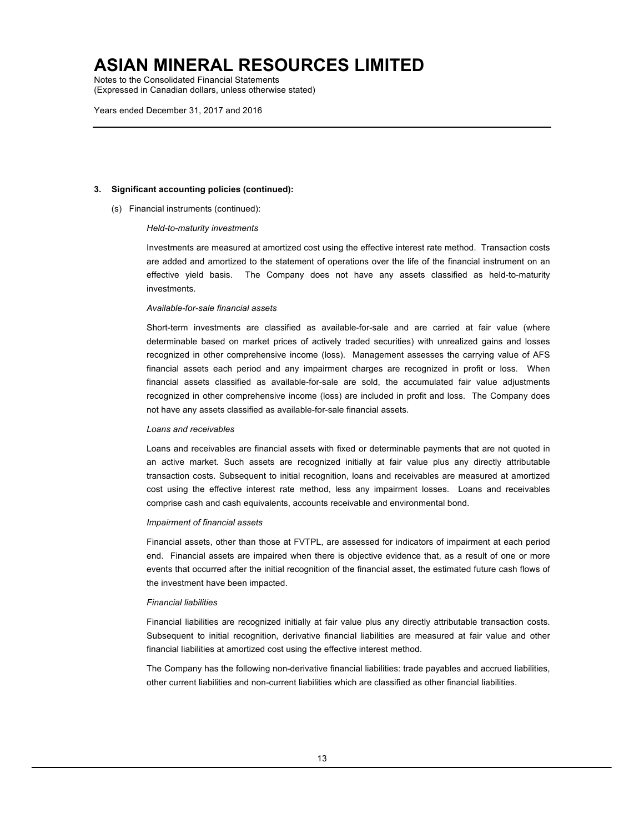Notes to the Consolidated Financial Statements (Expressed in Canadian dollars, unless otherwise stated)

Years ended December 31, 2017 and 2016

#### **3. Significant accounting policies (continued):**

(s) Financial instruments (continued):

#### *Held-to-maturity investments*

Investments are measured at amortized cost using the effective interest rate method. Transaction costs are added and amortized to the statement of operations over the life of the financial instrument on an effective yield basis. The Company does not have any assets classified as held-to-maturity investments.

#### *Available-for-sale financial assets*

Short-term investments are classified as available-for-sale and are carried at fair value (where determinable based on market prices of actively traded securities) with unrealized gains and losses recognized in other comprehensive income (loss). Management assesses the carrying value of AFS financial assets each period and any impairment charges are recognized in profit or loss. When financial assets classified as available-for-sale are sold, the accumulated fair value adjustments recognized in other comprehensive income (loss) are included in profit and loss. The Company does not have any assets classified as available-for-sale financial assets.

#### *Loans and receivables*

Loans and receivables are financial assets with fixed or determinable payments that are not quoted in an active market. Such assets are recognized initially at fair value plus any directly attributable transaction costs. Subsequent to initial recognition, loans and receivables are measured at amortized cost using the effective interest rate method, less any impairment losses. Loans and receivables comprise cash and cash equivalents, accounts receivable and environmental bond.

#### *Impairment of financial assets*

Financial assets, other than those at FVTPL, are assessed for indicators of impairment at each period end. Financial assets are impaired when there is objective evidence that, as a result of one or more events that occurred after the initial recognition of the financial asset, the estimated future cash flows of the investment have been impacted.

#### *Financial liabilities*

Financial liabilities are recognized initially at fair value plus any directly attributable transaction costs. Subsequent to initial recognition, derivative financial liabilities are measured at fair value and other financial liabilities at amortized cost using the effective interest method.

The Company has the following non-derivative financial liabilities: trade payables and accrued liabilities, other current liabilities and non-current liabilities which are classified as other financial liabilities.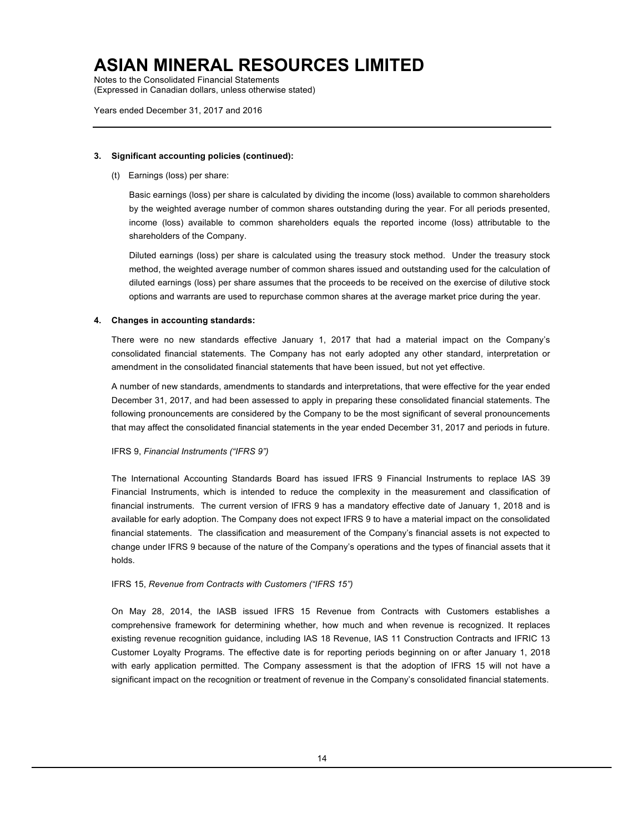Notes to the Consolidated Financial Statements (Expressed in Canadian dollars, unless otherwise stated)

Years ended December 31, 2017 and 2016

### **3. Significant accounting policies (continued):**

(t) Earnings (loss) per share:

Basic earnings (loss) per share is calculated by dividing the income (loss) available to common shareholders by the weighted average number of common shares outstanding during the year. For all periods presented, income (loss) available to common shareholders equals the reported income (loss) attributable to the shareholders of the Company.

Diluted earnings (loss) per share is calculated using the treasury stock method. Under the treasury stock method, the weighted average number of common shares issued and outstanding used for the calculation of diluted earnings (loss) per share assumes that the proceeds to be received on the exercise of dilutive stock options and warrants are used to repurchase common shares at the average market price during the year.

### **. Changes in accounting standards:**

There were no new standards effective January 1, 2017 that had a material impact on the Company's consolidated financial statements. The Company has not early adopted any other standard, interpretation or amendment in the consolidated financial statements that have been issued, but not yet effective.

A number of new standards, amendments to standards and interpretations, that were effective for the year ended December 31, 2017, and had been assessed to apply in preparing these consolidated financial statements. The following pronouncements are considered by the Company to be the most significant of several pronouncements that may affect the consolidated financial statements in the year ended December 31, 2017 and periods in future.

### IFRS 9, *Financial Instruments ("IFRS 9")*

The International Accounting Standards Board has issued IFRS 9 Financial Instruments to replace IAS 39 Financial Instruments, which is intended to reduce the complexity in the measurement and classification of financial instruments. The current version of IFRS 9 has a mandatory effective date of January 1, 2018 and is available for early adoption. The Company does not expect IFRS 9 to have a material impact on the consolidated financial statements. The classification and measurement of the Company's financial assets is not expected to change under IFRS 9 because of the nature of the Company's operations and the types of financial assets that it holds.

### IFRS 15, *Revenue from Contracts with Customers ("IFRS 15")*

On May 28, 2014, the IASB issued IFRS 15 Revenue from Contracts with Customers establishes a comprehensive framework for determining whether, how much and when revenue is recognized. It replaces existing revenue recognition guidance, including IAS 18 Revenue, IAS 11 Construction Contracts and IFRIC 13 Customer Loyalty Programs. The effective date is for reporting periods beginning on or after January 1, 2018 with early application permitted. The Company assessment is that the adoption of IFRS 15 will not have a significant impact on the recognition or treatment of revenue in the Company's consolidated financial statements.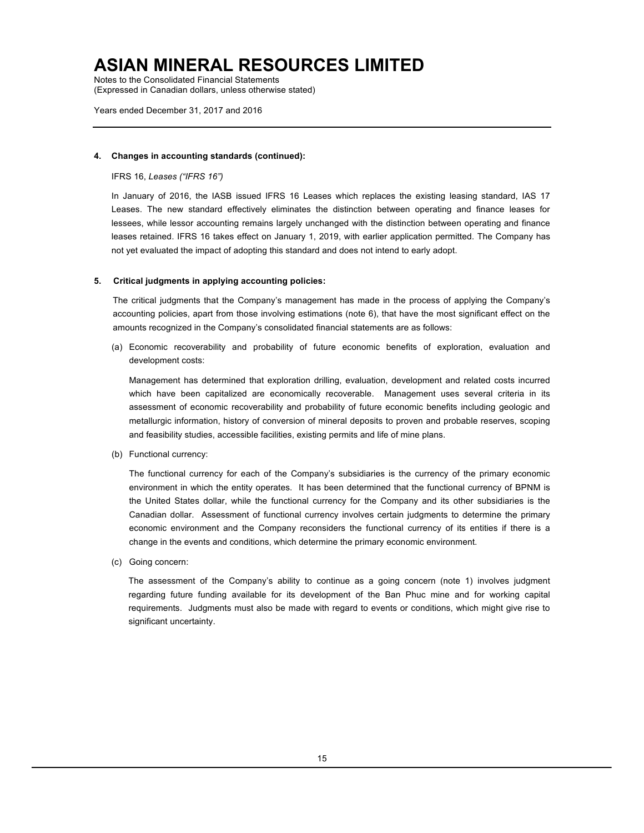Notes to the Consolidated Financial Statements (Expressed in Canadian dollars, unless otherwise stated)

Years ended December 31, 2017 and 2016

#### **. Changes in accounting standards (continued):**

IFRS 16, *Leases ("IFRS 16")*

In January of 2016, the IASB issued IFRS 16 Leases which replaces the existing leasing standard, IAS 17 Leases. The new standard effectively eliminates the distinction between operating and finance leases for lessees, while lessor accounting remains largely unchanged with the distinction between operating and finance leases retained. IFRS 16 takes effect on January 1, 2019, with earlier application permitted. The Company has not yet evaluated the impact of adopting this standard and does not intend to early adopt.

### **. Critical judgments in applying accounting policies:**

The critical judgments that the Company's management has made in the process of applying the Company's accounting policies, apart from those involving estimations (note 6), that have the most significant effect on the amounts recognized in the Company's consolidated financial statements are as follows:

(a) Economic recoverability and probability of future economic benefits of exploration, evaluation and development costs:

Management has determined that exploration drilling, evaluation, development and related costs incurred which have been capitalized are economically recoverable. Management uses several criteria in its assessment of economic recoverability and probability of future economic benefits including geologic and metallurgic information, history of conversion of mineral deposits to proven and probable reserves, scoping and feasibility studies, accessible facilities, existing permits and life of mine plans.

(b) Functional currency:

The functional currency for each of the Company's subsidiaries is the currency of the primary economic environment in which the entity operates. It has been determined that the functional currency of BPNM is the United States dollar, while the functional currency for the Company and its other subsidiaries is the Canadian dollar. Assessment of functional currency involves certain judgments to determine the primary economic environment and the Company reconsiders the functional currency of its entities if there is a change in the events and conditions, which determine the primary economic environment.

(c) Going concern:

The assessment of the Company's ability to continue as a going concern (note 1) involves judgment regarding future funding available for its development of the Ban Phuc mine and for working capital requirements. Judgments must also be made with regard to events or conditions, which might give rise to significant uncertainty.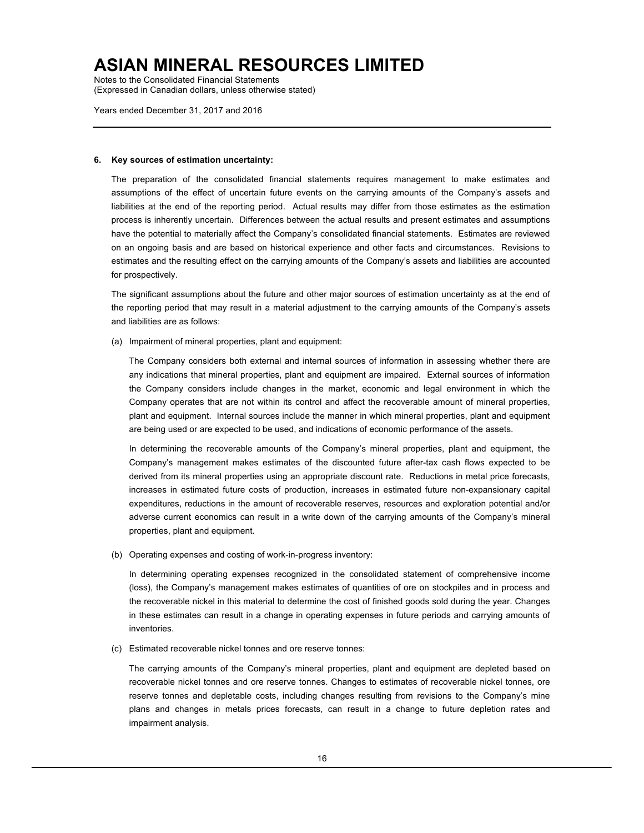Notes to the Consolidated Financial Statements (Expressed in Canadian dollars, unless otherwise stated)

Years ended December 31, 2017 and 2016

#### **. Key sources of estimation uncertainty:**

The preparation of the consolidated financial statements requires management to make estimates and assumptions of the effect of uncertain future events on the carrying amounts of the Company's assets and liabilities at the end of the reporting period. Actual results may differ from those estimates as the estimation process is inherently uncertain. Differences between the actual results and present estimates and assumptions have the potential to materially affect the Company's consolidated financial statements. Estimates are reviewed on an ongoing basis and are based on historical experience and other facts and circumstances. Revisions to estimates and the resulting effect on the carrying amounts of the Company's assets and liabilities are accounted for prospectively.

The significant assumptions about the future and other major sources of estimation uncertainty as at the end of the reporting period that may result in a material adjustment to the carrying amounts of the Company's assets and liabilities are as follows:

(a) Impairment of mineral properties, plant and equipment:

The Company considers both external and internal sources of information in assessing whether there are any indications that mineral properties, plant and equipment are impaired. External sources of information the Company considers include changes in the market, economic and legal environment in which the Company operates that are not within its control and affect the recoverable amount of mineral properties, plant and equipment. Internal sources include the manner in which mineral properties, plant and equipment are being used or are expected to be used, and indications of economic performance of the assets.

In determining the recoverable amounts of the Company's mineral properties, plant and equipment, the Company's management makes estimates of the discounted future after-tax cash flows expected to be derived from its mineral properties using an appropriate discount rate. Reductions in metal price forecasts, increases in estimated future costs of production, increases in estimated future non-expansionary capital expenditures, reductions in the amount of recoverable reserves, resources and exploration potential and/or adverse current economics can result in a write down of the carrying amounts of the Company's mineral properties, plant and equipment.

(b) Operating expenses and costing of work-in-progress inventory:

In determining operating expenses recognized in the consolidated statement of comprehensive income (loss), the Company's management makes estimates of quantities of ore on stockpiles and in process and the recoverable nickel in this material to determine the cost of finished goods sold during the year. Changes in these estimates can result in a change in operating expenses in future periods and carrying amounts of inventories.

(c) Estimated recoverable nickel tonnes and ore reserve tonnes:

The carrying amounts of the Company's mineral properties, plant and equipment are depleted based on recoverable nickel tonnes and ore reserve tonnes. Changes to estimates of recoverable nickel tonnes, ore reserve tonnes and depletable costs, including changes resulting from revisions to the Company's mine plans and changes in metals prices forecasts, can result in a change to future depletion rates and impairment analysis.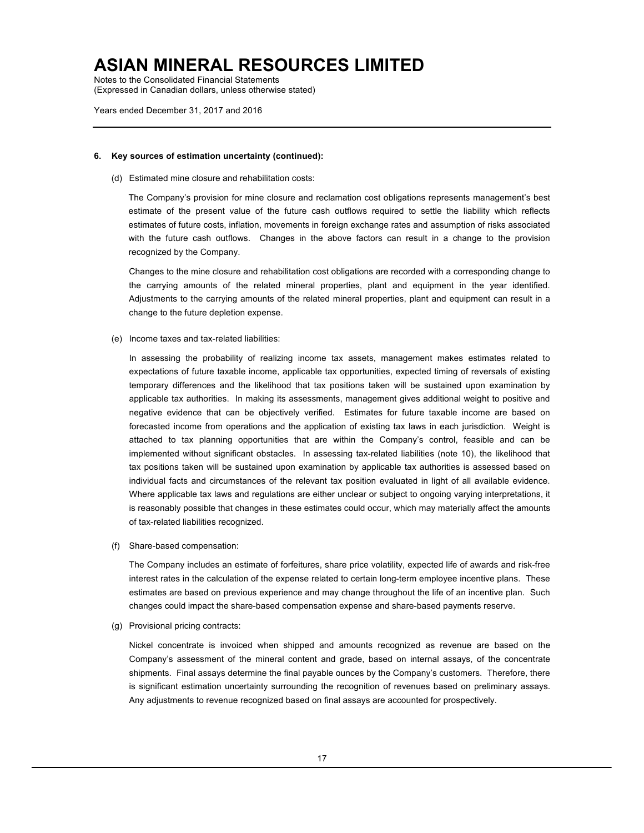Notes to the Consolidated Financial Statements (Expressed in Canadian dollars, unless otherwise stated)

Years ended December 31, 2017 and 2016

#### **6. Key sources of estimation uncertainty (continued):**

(d) Estimated mine closure and rehabilitation costs:

The Company's provision for mine closure and reclamation cost obligations represents management's best estimate of the present value of the future cash outflows required to settle the liability which reflects estimates of future costs, inflation, movements in foreign exchange rates and assumption of risks associated with the future cash outflows. Changes in the above factors can result in a change to the provision recognized by the Company.

Changes to the mine closure and rehabilitation cost obligations are recorded with a corresponding change to the carrying amounts of the related mineral properties, plant and equipment in the year identified. Adjustments to the carrying amounts of the related mineral properties, plant and equipment can result in a change to the future depletion expense.

(e) Income taxes and tax-related liabilities:

In assessing the probability of realizing income tax assets, management makes estimates related to expectations of future taxable income, applicable tax opportunities, expected timing of reversals of existing temporary differences and the likelihood that tax positions taken will be sustained upon examination by applicable tax authorities. In making its assessments, management gives additional weight to positive and negative evidence that can be objectively verified. Estimates for future taxable income are based on forecasted income from operations and the application of existing tax laws in each jurisdiction. Weight is attached to tax planning opportunities that are within the Company's control, feasible and can be implemented without significant obstacles. In assessing tax-related liabilities (note 10), the likelihood that tax positions taken will be sustained upon examination by applicable tax authorities is assessed based on individual facts and circumstances of the relevant tax position evaluated in light of all available evidence. Where applicable tax laws and regulations are either unclear or subject to ongoing varying interpretations, it is reasonably possible that changes in these estimates could occur, which may materially affect the amounts of tax-related liabilities recognized.

(f) Share-based compensation:

The Company includes an estimate of forfeitures, share price volatility, expected life of awards and risk-free interest rates in the calculation of the expense related to certain long-term employee incentive plans. These estimates are based on previous experience and may change throughout the life of an incentive plan. Such changes could impact the share-based compensation expense and share-based payments reserve.

(g) Provisional pricing contracts:

Nickel concentrate is invoiced when shipped and amounts recognized as revenue are based on the Company's assessment of the mineral content and grade, based on internal assays, of the concentrate shipments. Final assays determine the final payable ounces by the Company's customers. Therefore, there is significant estimation uncertainty surrounding the recognition of revenues based on preliminary assays. Any adjustments to revenue recognized based on final assays are accounted for prospectively.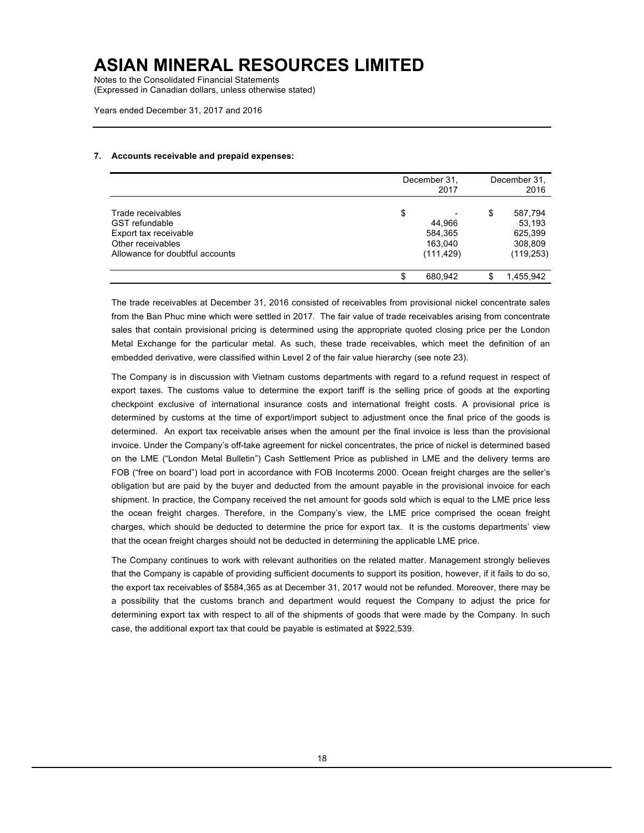Notes to the Consolidated Financial Statements (Expressed in Canadian dollars, unless otherwise stated)

Years ended December 31, 2017 and 2016

#### **. Accounts receivable and prepaid expenses:**

|                                                                                                                             |    | December 31.<br>2017                       |    | December 31,<br>2016                                  |
|-----------------------------------------------------------------------------------------------------------------------------|----|--------------------------------------------|----|-------------------------------------------------------|
| Trade receivables<br><b>GST</b> refundable<br>Export tax receivable<br>Other receivables<br>Allowance for doubtful accounts | \$ | 44,966<br>584,365<br>163,040<br>(111, 429) | S  | 587,794<br>53,193<br>625,399<br>308,809<br>(119, 253) |
|                                                                                                                             | S. | 680,942                                    | \$ | 1,455,942                                             |

The trade receivables at December 31, 2016 consisted of receivables from provisional nickel concentrate sales from the Ban Phuc mine which were settled in 2017. The fair value of trade receivables arising from concentrate sales that contain provisional pricing is determined using the appropriate quoted closing price per the London Metal Exchange for the particular metal. As such, these trade receivables, which meet the definition of an embedded derivative, were classified within Level 2 of the fair value hierarchy (see note 23).

The Company is in discussion with Vietnam customs departments with regard to a refund request in respect of export taxes. The customs value to determine the export tariff is the selling price of goods at the exporting checkpoint exclusive of international insurance costs and international freight costs. A provisional price is determined by customs at the time of export/import subject to adjustment once the final price of the goods is determined. An export tax receivable arises when the amount per the final invoice is less than the provisional invoice. Under the Company's off-take agreement for nickel concentrates, the price of nickel is determined based on the LME ("London Metal Bulletin") Cash Settlement Price as published in LME and the delivery terms are FOB ("free on board") load port in accordance with FOB Incoterms 2000. Ocean freight charges are the seller's obligation but are paid by the buyer and deducted from the amount payable in the provisional invoice for each shipment. In practice, the Company received the net amount for goods sold which is equal to the LME price less the ocean freight charges. Therefore, in the Company's view, the LME price comprised the ocean freight charges, which should be deducted to determine the price for export tax. It is the customs departments' view that the ocean freight charges should not be deducted in determining the applicable LME price.

The Company continues to work with relevant authorities on the related matter. Management strongly believes that the Company is capable of providing sufficient documents to support its position, however, if it fails to do so, the export tax receivables of \$584,365 as at December 31, 2017 would not be refunded. Moreover, there may be a possibility that the customs branch and department would request the Company to adjust the price for determining export tax with respect to all of the shipments of goods that were made by the Company. In such case, the additional export tax that could be payable is estimated at \$922,539.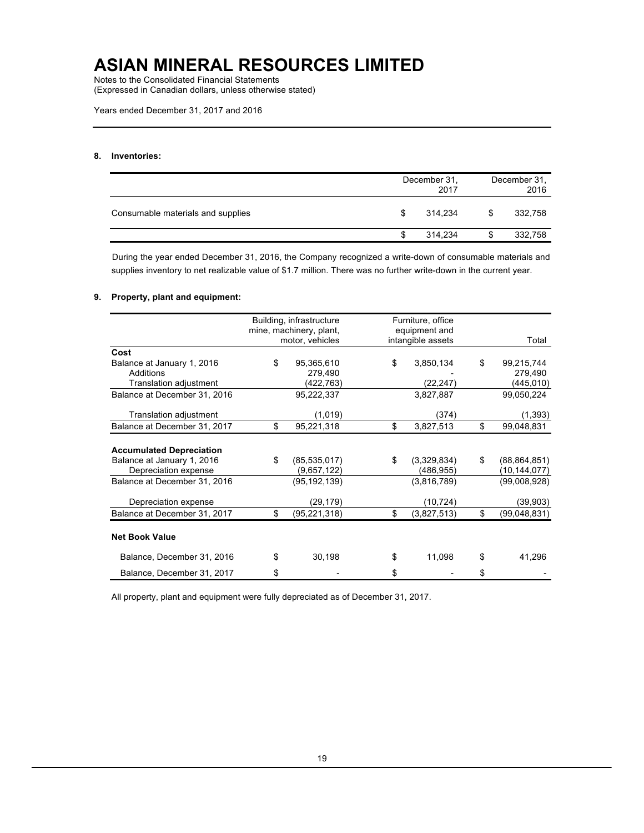Notes to the Consolidated Financial Statements (Expressed in Canadian dollars, unless otherwise stated)

Years ended December 31, 2017 and 2016

### **. Inventories:**

|                                   | December 31,<br>2017 |   | December 31,<br>2016 |
|-----------------------------------|----------------------|---|----------------------|
| Consumable materials and supplies | 314.234              | S | 332,758              |
|                                   | 314,234              | S | 332,758              |

During the year ended December 31, 2016, the Company recognized a write-down of consumable materials and supplies inventory to net realizable value of \$1.7 million. There was no further write-down in the current year.

### **. Property, plant and equipment:**

|                                 | Building, infrastructure | Furniture, office |                      |
|---------------------------------|--------------------------|-------------------|----------------------|
|                                 | mine, machinery, plant,  | equipment and     |                      |
|                                 | motor, vehicles          | intangible assets | Total                |
| Cost                            |                          |                   |                      |
| Balance at January 1, 2016      | \$<br>95,365,610         | \$<br>3,850,134   | \$<br>99,215,744     |
| Additions                       | 279,490                  |                   | 279,490              |
| Translation adjustment          | (422,763)                | (22, 247)         | (445,010)            |
| Balance at December 31, 2016    | 95,222,337               | 3,827,887         | 99,050,224           |
| Translation adjustment          | (1,019)                  | (374)             | (1, 393)             |
| Balance at December 31, 2017    | \$<br>95,221,318         | \$<br>3,827,513   | \$<br>99,048,831     |
| <b>Accumulated Depreciation</b> |                          |                   |                      |
| Balance at January 1, 2016      | \$<br>(85, 535, 017)     | \$<br>(3,329,834) | \$<br>(88, 864, 851) |
| Depreciation expense            | (9,657,122)              | (486,955)         | (10,144,077)         |
| Balance at December 31, 2016    | (95, 192, 139)           | (3,816,789)       | (99,008,928)         |
| Depreciation expense            | (29,179)                 | (10, 724)         | (39, 903)            |
| Balance at December 31, 2017    | \$<br>(95, 221, 318)     | \$<br>(3,827,513) | \$<br>(99,048,831)   |
| <b>Net Book Value</b>           |                          |                   |                      |
| Balance, December 31, 2016      | \$<br>30,198             | \$<br>11,098      | \$<br>41,296         |
| Balance, December 31, 2017      | \$                       | \$                | \$                   |

All property, plant and equipment were fully depreciated as of December 31, 2017.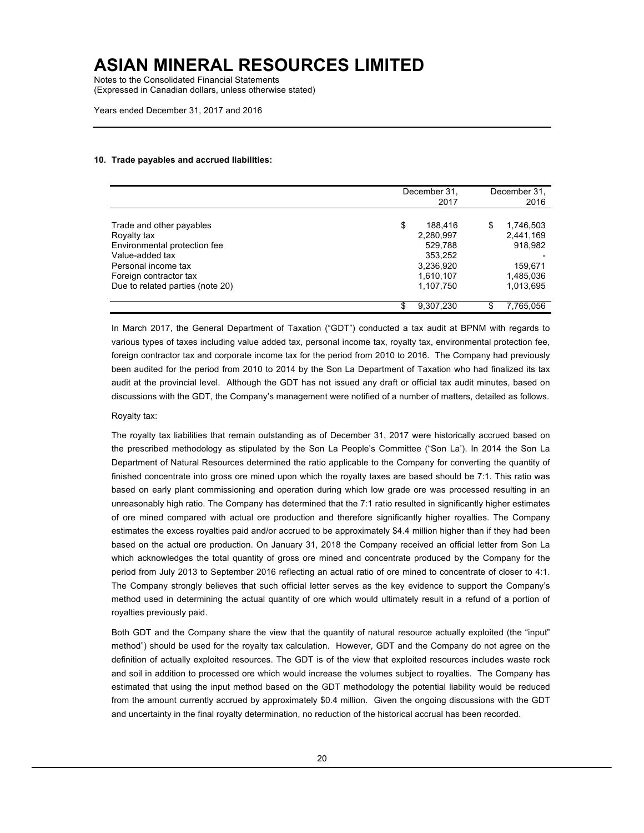Notes to the Consolidated Financial Statements (Expressed in Canadian dollars, unless otherwise stated)

Years ended December 31, 2017 and 2016

#### **10. Trade payables and accrued liabilities:**

|                                                                                                                                                                                 | December 31,<br>2017                                                                    |   | December 31.<br>2016                                                   |
|---------------------------------------------------------------------------------------------------------------------------------------------------------------------------------|-----------------------------------------------------------------------------------------|---|------------------------------------------------------------------------|
| Trade and other payables<br>Royalty tax<br>Environmental protection fee<br>Value-added tax<br>Personal income tax<br>Foreign contractor tax<br>Due to related parties (note 20) | \$<br>188.416<br>2,280,997<br>529,788<br>353.252<br>3,236,920<br>1,610,107<br>1.107.750 | S | 1,746,503<br>2.441.169<br>918,982<br>159,671<br>1,485,036<br>1,013,695 |
|                                                                                                                                                                                 | \$<br>9,307,230                                                                         | S | 7,765,056                                                              |

In March 2017, the General Department of Taxation ("GDT") conducted a tax audit at BPNM with regards to various types of taxes including value added tax, personal income tax, royalty tax, environmental protection fee, foreign contractor tax and corporate income tax for the period from 2010 to 2016. The Company had previously been audited for the period from 2010 to 2014 by the Son La Department of Taxation who had finalized its tax audit at the provincial level. Although the GDT has not issued any draft or official tax audit minutes, based on discussions with the GDT, the Company's management were notified of a number of matters, detailed as follows.

#### Royalty tax:

The royalty tax liabilities that remain outstanding as of December 31, 2017 were historically accrued based on the prescribed methodology as stipulated by the Son La People's Committee ("Son La'). In 2014 the Son La Department of Natural Resources determined the ratio applicable to the Company for converting the quantity of finished concentrate into gross ore mined upon which the royalty taxes are based should be 7:1. This ratio was based on early plant commissioning and operation during which low grade ore was processed resulting in an unreasonably high ratio. The Company has determined that the 7:1 ratio resulted in significantly higher estimates of ore mined compared with actual ore production and therefore significantly higher royalties. The Company estimates the excess royalties paid and/or accrued to be approximately \$4.4 million higher than if they had been based on the actual ore production. On January 31, 2018 the Company received an official letter from Son La which acknowledges the total quantity of gross ore mined and concentrate produced by the Company for the period from July 2013 to September 2016 reflecting an actual ratio of ore mined to concentrate of closer to 4:1. The Company strongly believes that such official letter serves as the key evidence to support the Company's method used in determining the actual quantity of ore which would ultimately result in a refund of a portion of royalties previously paid.

Both GDT and the Company share the view that the quantity of natural resource actually exploited (the "input" method") should be used for the royalty tax calculation. However, GDT and the Company do not agree on the definition of actually exploited resources. The GDT is of the view that exploited resources includes waste rock and soil in addition to processed ore which would increase the volumes subject to royalties. The Company has estimated that using the input method based on the GDT methodology the potential liability would be reduced from the amount currently accrued by approximately \$0.4 million. Given the ongoing discussions with the GDT and uncertainty in the final royalty determination, no reduction of the historical accrual has been recorded.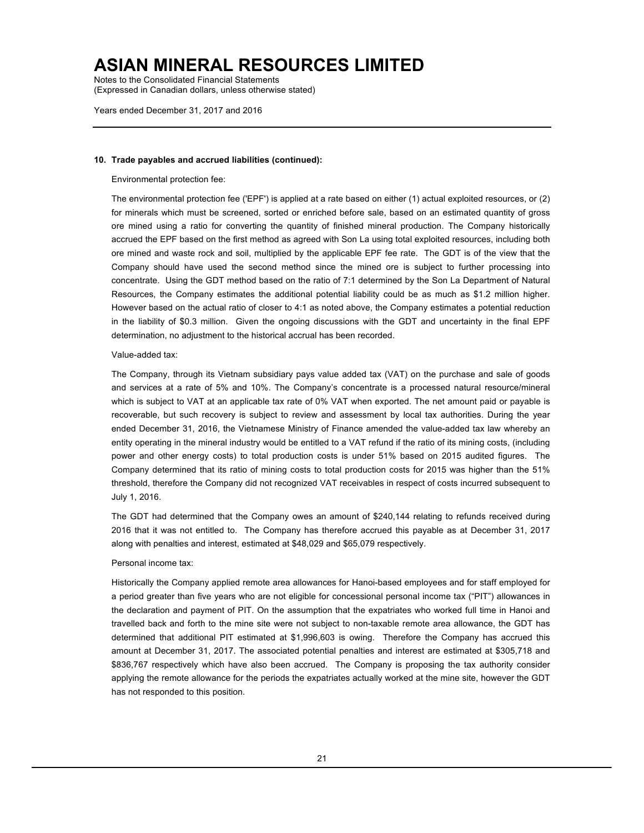Notes to the Consolidated Financial Statements (Expressed in Canadian dollars, unless otherwise stated)

Years ended December 31, 2017 and 2016

#### **10. Trade payables and accrued liabilities (continued):**

Environmental protection fee:

The environmental protection fee ('EPF') is applied at a rate based on either (1) actual exploited resources, or (2) for minerals which must be screened, sorted or enriched before sale, based on an estimated quantity of gross ore mined using a ratio for converting the quantity of finished mineral production. The Company historically accrued the EPF based on the first method as agreed with Son La using total exploited resources, including both ore mined and waste rock and soil, multiplied by the applicable EPF fee rate. The GDT is of the view that the Company should have used the second method since the mined ore is subject to further processing into concentrate. Using the GDT method based on the ratio of 7:1 determined by the Son La Department of Natural Resources, the Company estimates the additional potential liability could be as much as \$1.2 million higher. However based on the actual ratio of closer to 4:1 as noted above, the Company estimates a potential reduction in the liability of \$0.3 million. Given the ongoing discussions with the GDT and uncertainty in the final EPF determination, no adjustment to the historical accrual has been recorded.

#### Value-added tax:

The Company, through its Vietnam subsidiary pays value added tax (VAT) on the purchase and sale of goods and services at a rate of 5% and 10%. The Company's concentrate is a processed natural resource/mineral which is subject to VAT at an applicable tax rate of 0% VAT when exported. The net amount paid or payable is recoverable, but such recovery is subject to review and assessment by local tax authorities. During the year ended December 31, 2016, the Vietnamese Ministry of Finance amended the value-added tax law whereby an entity operating in the mineral industry would be entitled to a VAT refund if the ratio of its mining costs, (including power and other energy costs) to total production costs is under 51% based on 2015 audited figures. The Company determined that its ratio of mining costs to total production costs for 2015 was higher than the 51% threshold, therefore the Company did not recognized VAT receivables in respect of costs incurred subsequent to July 1, 2016.

The GDT had determined that the Company owes an amount of \$240,144 relating to refunds received during 2016 that it was not entitled to. The Company has therefore accrued this payable as at December 31, 2017 along with penalties and interest, estimated at \$48,029 and \$65,079 respectively.

#### Personal income tax:

Historically the Company applied remote area allowances for Hanoi-based employees and for staff employed for a period greater than five years who are not eligible for concessional personal income tax ("PIT") allowances in the declaration and payment of PIT. On the assumption that the expatriates who worked full time in Hanoi and travelled back and forth to the mine site were not subject to non-taxable remote area allowance, the GDT has determined that additional PIT estimated at \$1,996,603 is owing. Therefore the Company has accrued this amount at December 31, 2017. The associated potential penalties and interest are estimated at \$305,718 and \$836,767 respectively which have also been accrued. The Company is proposing the tax authority consider applying the remote allowance for the periods the expatriates actually worked at the mine site, however the GDT has not responded to this position.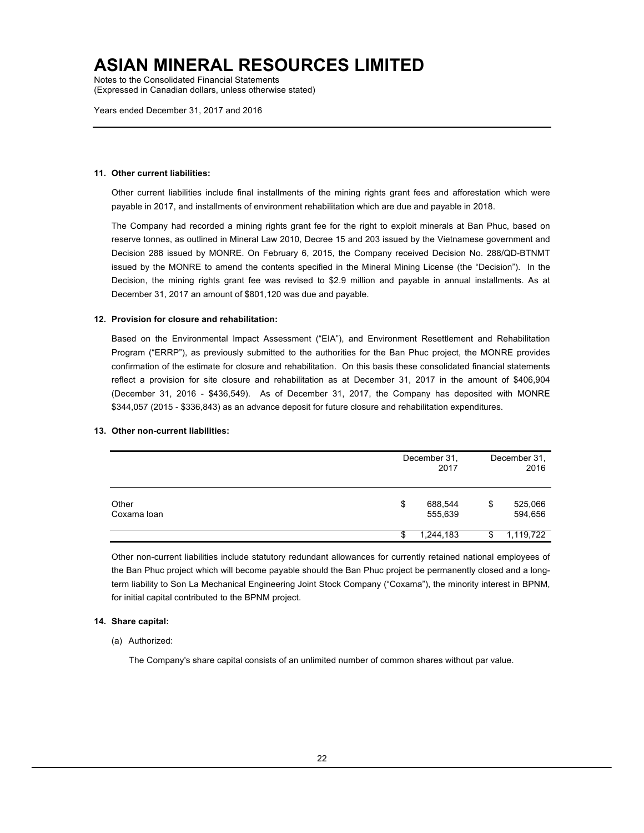Notes to the Consolidated Financial Statements (Expressed in Canadian dollars, unless otherwise stated)

Years ended December 31, 2017 and 2016

#### **11. Other current liabilities:**

Other current liabilities include final installments of the mining rights grant fees and afforestation which were payable in 2017, and installments of environment rehabilitation which are due and payable in 2018.

The Company had recorded a mining rights grant fee for the right to exploit minerals at Ban Phuc, based on reserve tonnes, as outlined in Mineral Law 2010, Decree 15 and 203 issued by the Vietnamese government and Decision 288 issued by MONRE. On February 6, 2015, the Company received Decision No. 288/QD-BTNMT issued by the MONRE to amend the contents specified in the Mineral Mining License (the "Decision"). In the Decision, the mining rights grant fee was revised to \$2.9 million and payable in annual installments. As at December 31, 2017 an amount of \$801,120 was due and payable.

### **12. Provision for closure and rehabilitation:**

Based on the Environmental Impact Assessment ("EIA"), and Environment Resettlement and Rehabilitation Program ("ERRP"), as previously submitted to the authorities for the Ban Phuc project, the MONRE provides confirmation of the estimate for closure and rehabilitation. On this basis these consolidated financial statements reflect a provision for site closure and rehabilitation as at December 31, 2017 in the amount of \$406,904 (December 31, 2016 - \$436,549). As of December 31, 2017, the Company has deposited with MONRE \$344,057 (2015 - \$336,843) as an advance deposit for future closure and rehabilitation expenditures.

### **13. Other non-current liabilities:**

|                      |    | December 31.<br>2017 |   | December 31,<br>2016 |
|----------------------|----|----------------------|---|----------------------|
| Other<br>Coxama loan | \$ | 688,544<br>555,639   | S | 525,066<br>594,656   |
|                      | S  | 1,244,183            |   | 1,119,722            |

Other non-current liabilities include statutory redundant allowances for currently retained national employees of the Ban Phuc project which will become payable should the Ban Phuc project be permanently closed and a longterm liability to Son La Mechanical Engineering Joint Stock Company ("Coxama"), the minority interest in BPNM, for initial capital contributed to the BPNM project.

### **14. Share capital:**

### (a) Authorized:

The Company's share capital consists of an unlimited number of common shares without par value.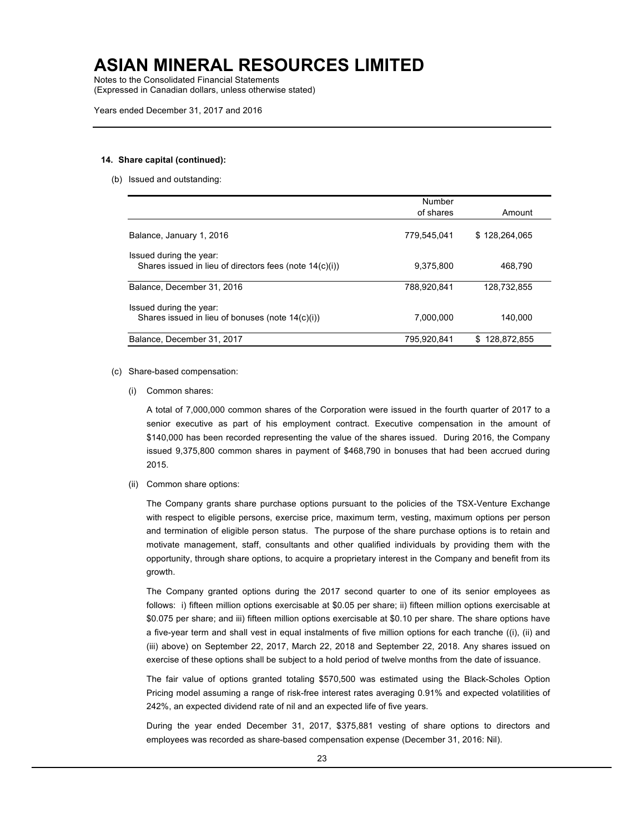Notes to the Consolidated Financial Statements (Expressed in Canadian dollars, unless otherwise stated)

Years ended December 31, 2017 and 2016

#### **14. Share capital (continued):**

(b) Issued and outstanding:

|                                                                                    | Number      |                   |
|------------------------------------------------------------------------------------|-------------|-------------------|
|                                                                                    | of shares   | Amount            |
| Balance, January 1, 2016                                                           | 779,545,041 | \$128,264,065     |
| Issued during the year:<br>Shares issued in lieu of directors fees (note 14(c)(i)) | 9.375.800   | 468.790           |
| Balance, December 31, 2016                                                         | 788.920.841 | 128.732.855       |
| Issued during the year:<br>Shares issued in lieu of bonuses (note 14(c)(i))        | 7.000.000   | 140.000           |
| Balance, December 31, 2017                                                         | 795,920,841 | 128.872.855<br>S. |

#### (c) Share-based compensation:

(i) Common shares:

A total of 7,000,000 common shares of the Corporation were issued in the fourth quarter of 2017 to a senior executive as part of his employment contract. Executive compensation in the amount of \$140,000 has been recorded representing the value of the shares issued. During 2016, the Company issued 9,375,800 common shares in payment of \$468,790 in bonuses that had been accrued during 2015.

(ii) Common share options:

The Company grants share purchase options pursuant to the policies of the TSX-Venture Exchange with respect to eligible persons, exercise price, maximum term, vesting, maximum options per person and termination of eligible person status. The purpose of the share purchase options is to retain and motivate management, staff, consultants and other qualified individuals by providing them with the opportunity, through share options, to acquire a proprietary interest in the Company and benefit from its growth.

The Company granted options during the 2017 second quarter to one of its senior employees as follows: i) fifteen million options exercisable at \$0.05 per share; ii) fifteen million options exercisable at \$0.075 per share; and iii) fifteen million options exercisable at \$0.10 per share. The share options have a five-year term and shall vest in equal instalments of five million options for each tranche ((i), (ii) and (iii) above) on September 22, 2017, March 22, 2018 and September 22, 2018. Any shares issued on exercise of these options shall be subject to a hold period of twelve months from the date of issuance.

The fair value of options granted totaling \$570,500 was estimated using the Black-Scholes Option Pricing model assuming a range of risk-free interest rates averaging 0.91% and expected volatilities of 242%, an expected dividend rate of nil and an expected life of five years.

During the year ended December 31, 2017, \$375,881 vesting of share options to directors and employees was recorded as share-based compensation expense (December 31, 2016: Nil).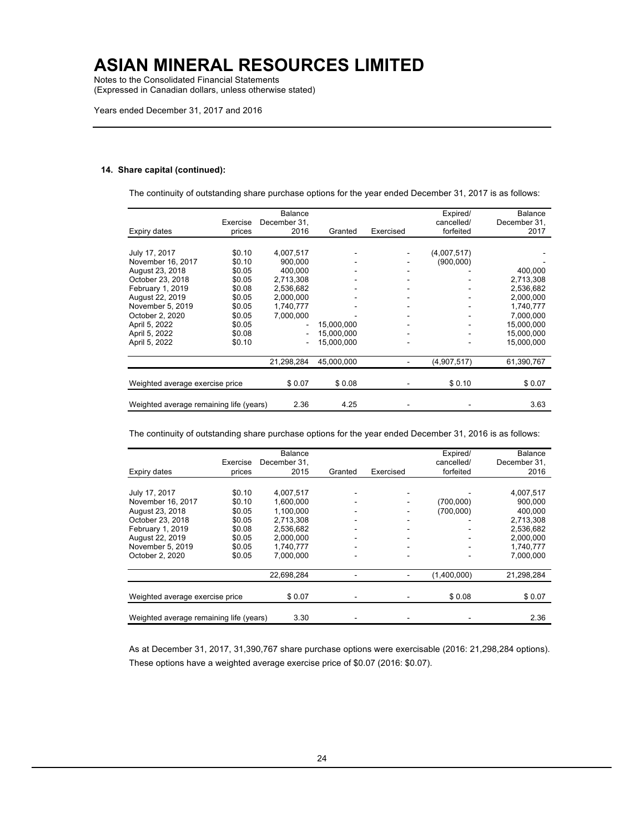Notes to the Consolidated Financial Statements (Expressed in Canadian dollars, unless otherwise stated)

Years ended December 31, 2017 and 2016

#### **14. Share capital (continued):**

The continuity of outstanding share purchase options for the year ended December 31, 2017 is as follows:

|                                         |          | <b>Balance</b> |            |           | Expired/    | <b>Balance</b> |
|-----------------------------------------|----------|----------------|------------|-----------|-------------|----------------|
|                                         | Exercise | December 31,   |            |           | cancelled/  | December 31,   |
| Expiry dates                            | prices   | 2016           | Granted    | Exercised | forfeited   | 2017           |
|                                         |          |                |            |           |             |                |
| July 17, 2017                           | \$0.10   | 4,007,517      |            |           | (4,007,517) |                |
| November 16, 2017                       | \$0.10   | 900.000        |            |           | (900,000)   |                |
| August 23, 2018                         | \$0.05   | 400.000        |            |           |             | 400.000        |
| October 23, 2018                        | \$0.05   | 2,713,308      |            |           |             | 2,713,308      |
| February 1, 2019                        | \$0.08   | 2,536,682      |            | ٠         |             | 2,536,682      |
| August 22, 2019                         | \$0.05   | 2.000.000      |            |           |             | 2.000.000      |
| November 5, 2019                        | \$0.05   | 1,740,777      |            |           |             | 1,740,777      |
| October 2, 2020                         | \$0.05   | 7,000,000      |            | ٠         |             | 7,000,000      |
| April 5, 2022                           | \$0.05   |                | 15,000,000 |           |             | 15,000,000     |
| April 5, 2022                           | \$0.08   |                | 15,000,000 |           |             | 15,000,000     |
| April 5, 2022                           | \$0.10   |                | 15,000,000 |           |             | 15,000,000     |
|                                         |          | 21,298,284     | 45.000.000 |           | (4,907,517) | 61,390,767     |
|                                         |          |                |            |           |             |                |
| Weighted average exercise price         |          | \$0.07         | \$0.08     |           | \$0.10      | \$0.07         |
| Weighted average remaining life (years) |          | 2.36           | 4.25       |           |             | 3.63           |

The continuity of outstanding share purchase options for the year ended December 31, 2016 is as follows:

|                                         | Exercise | <b>Balance</b><br>December 31, |         |           | Expired/<br>cancelled/ | Balance<br>December 31, |
|-----------------------------------------|----------|--------------------------------|---------|-----------|------------------------|-------------------------|
| Expiry dates                            | prices   | 2015                           | Granted | Exercised | forfeited              | 2016                    |
|                                         |          |                                |         |           |                        |                         |
| July 17, 2017                           | \$0.10   | 4,007,517                      |         |           |                        | 4,007,517               |
| November 16, 2017                       | \$0.10   | 1,600,000                      |         | ۰         | (700,000)              | 900,000                 |
| August 23, 2018                         | \$0.05   | 1.100.000                      |         | ۰         | (700,000)              | 400.000                 |
| October 23, 2018                        | \$0.05   | 2.713.308                      |         | ۰         |                        | 2,713,308               |
| February 1, 2019                        | \$0.08   | 2,536,682                      |         |           |                        | 2,536,682               |
| August 22, 2019                         | \$0.05   | 2,000,000                      |         |           |                        | 2,000,000               |
| November 5, 2019                        | \$0.05   | 1,740,777                      |         | ٠         | ٠                      | 1,740,777               |
| October 2, 2020                         | \$0.05   | 7.000.000                      |         | ۰         | ۰                      | 7,000,000               |
|                                         |          |                                |         |           |                        |                         |
|                                         |          | 22,698,284                     |         |           | (1,400,000)            | 21,298,284              |
|                                         |          |                                |         |           |                        |                         |
| Weighted average exercise price         |          | \$0.07                         |         |           | \$0.08                 | \$0.07                  |
|                                         |          |                                |         |           |                        |                         |
| Weighted average remaining life (years) |          | 3.30                           |         |           |                        | 2.36                    |

As at December 31, 2017, 31,390,767 share purchase options were exercisable (2016: 21,298,284 options). These options have a weighted average exercise price of \$0.07 (2016: \$0.07).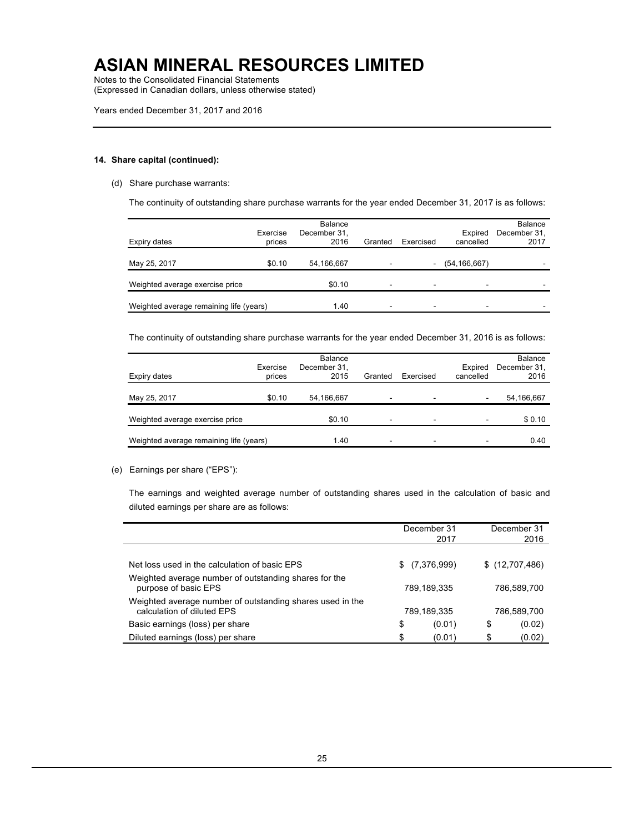Notes to the Consolidated Financial Statements (Expressed in Canadian dollars, unless otherwise stated)

Years ended December 31, 2017 and 2016

### **14. Share capital (continued):**

(d) Share purchase warrants:

The continuity of outstanding share purchase warrants for the year ended December 31, 2017 is as follows:

| Expiry dates                            | Exercise<br>prices | Balance<br>December 31,<br>2016 | Granted | Exercised | Expired<br>cancelled | Balance<br>December 31,<br>2017 |
|-----------------------------------------|--------------------|---------------------------------|---------|-----------|----------------------|---------------------------------|
| May 25, 2017                            | \$0.10             | 54,166,667                      |         | ۰         | (54, 166, 667)       |                                 |
| Weighted average exercise price         |                    | \$0.10                          | ۰       | -         | -                    |                                 |
| Weighted average remaining life (years) |                    | 1.40                            | ۰       | ۰         | -                    |                                 |

The continuity of outstanding share purchase warrants for the year ended December 31, 2016 is as follows:

| Expiry dates                            | Exercise<br>prices | <b>Balance</b><br>December 31,<br>2015 | Granted | Exercised | Expired<br>cancelled | Balance<br>December 31,<br>2016 |
|-----------------------------------------|--------------------|----------------------------------------|---------|-----------|----------------------|---------------------------------|
| May 25, 2017                            | \$0.10             | 54,166,667                             |         | -         | -                    | 54,166,667                      |
| Weighted average exercise price         |                    | \$0.10                                 |         | -         | -                    | \$0.10                          |
| Weighted average remaining life (years) |                    | 1.40                                   | ۰       | -         | -                    | 0.40                            |

#### (e) Earnings per share ("EPS"):

The earnings and weighted average number of outstanding shares used in the calculation of basic and diluted earnings per share are as follows:

|                                                                                         |             | December 31<br>2017 | December 31<br>2016 |                |
|-----------------------------------------------------------------------------------------|-------------|---------------------|---------------------|----------------|
|                                                                                         |             |                     |                     |                |
| Net loss used in the calculation of basic EPS                                           | S           | (7,376,999)         |                     | \$(12,707,486) |
| Weighted average number of outstanding shares for the<br>purpose of basic EPS           | 789,189,335 |                     | 786,589,700         |                |
| Weighted average number of outstanding shares used in the<br>calculation of diluted EPS | 789,189,335 |                     |                     | 786,589,700    |
| Basic earnings (loss) per share                                                         | \$          | (0.01)              | \$                  | (0.02)         |
| Diluted earnings (loss) per share                                                       | \$          | (0.01)              | \$                  | (0.02)         |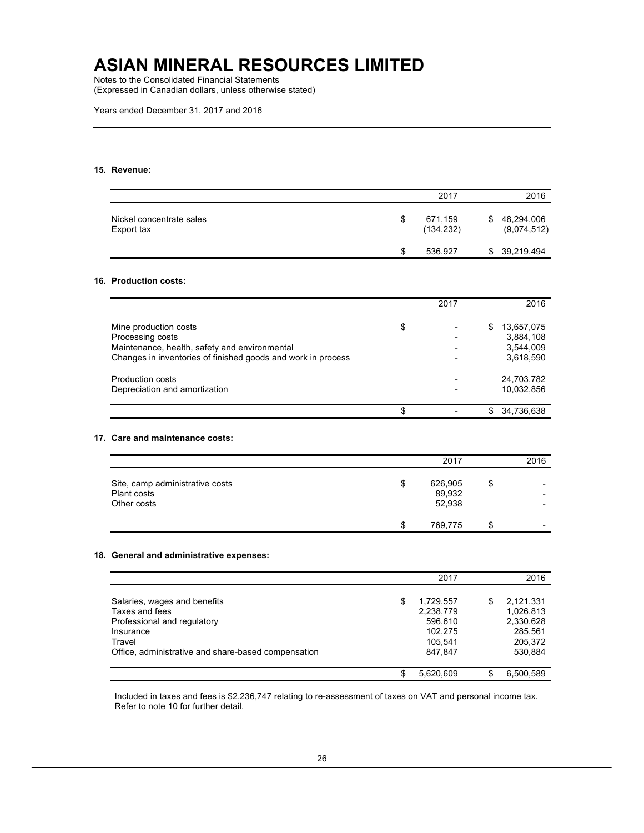Notes to the Consolidated Financial Statements (Expressed in Canadian dollars, unless otherwise stated)

Years ended December 31, 2017 and 2016

#### **15. Revenue:**

|                                        |   | 2017                  |    | 2016                      |
|----------------------------------------|---|-----------------------|----|---------------------------|
| Nickel concentrate sales<br>Export tax | S | 671,159<br>(134, 232) | S. | 48,294,006<br>(9,074,512) |
|                                        | S | 536,927               |    | \$ 39,219,494             |

#### **16. Production costs:**

|                                                              |   | 2017 | 2016            |
|--------------------------------------------------------------|---|------|-----------------|
| Mine production costs                                        | S |      | 13,657,075<br>S |
| Processing costs                                             |   |      | 3,884,108       |
| Maintenance, health, safety and environmental                |   |      | 3.544.009       |
| Changes in inventories of finished goods and work in process |   |      | 3,618,590       |
| Production costs                                             |   |      | 24,703,782      |
| Depreciation and amortization                                |   |      | 10,032,856      |
|                                                              |   |      |                 |
|                                                              |   |      | 34,736,638      |

#### **17. Care and maintenance costs:**

|                                 |    | 2017    |    | 2016                     |
|---------------------------------|----|---------|----|--------------------------|
| Site, camp administrative costs | \$ | 626,905 | \$ | $\overline{\phantom{0}}$ |
| Plant costs                     |    | 89,932  |    | $\overline{\phantom{0}}$ |
| Other costs                     |    | 52.938  |    | $\overline{\phantom{a}}$ |
|                                 | S  | 769,775 | S  | $\overline{\phantom{0}}$ |

### **18. General and administrative expenses:**

|                                                     |   | 2017      |   | 2016      |
|-----------------------------------------------------|---|-----------|---|-----------|
|                                                     |   |           |   |           |
| Salaries, wages and benefits                        | S | 1.729.557 | S | 2,121,331 |
| Taxes and fees                                      |   | 2,238,779 |   | 1,026,813 |
| Professional and regulatory                         |   | 596.610   |   | 2,330,628 |
| Insurance                                           |   | 102,275   |   | 285,561   |
| Travel                                              |   | 105,541   |   | 205,372   |
| Office, administrative and share-based compensation |   | 847.847   |   | 530,884   |
|                                                     |   | 5,620,609 |   | 6,500,589 |

Included in taxes and fees is \$2,236,747 relating to re-assessment of taxes on VAT and personal income tax. Refer to note 10 for further detail.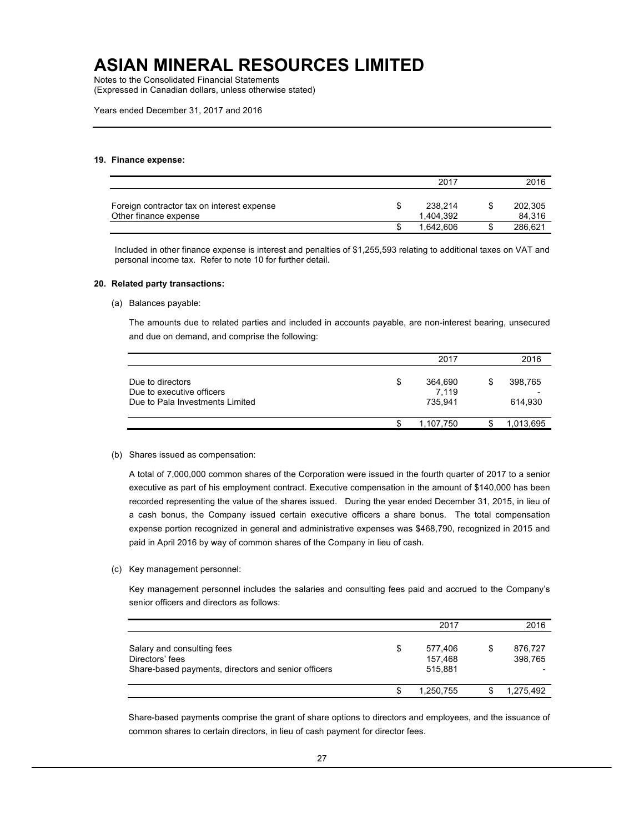Notes to the Consolidated Financial Statements (Expressed in Canadian dollars, unless otherwise stated)

Years ended December 31, 2017 and 2016

#### **19. Finance expense:**

|                                                                     | 2017                 |   | 2016              |
|---------------------------------------------------------------------|----------------------|---|-------------------|
| Foreign contractor tax on interest expense<br>Other finance expense | 238.214<br>1.404.392 | S | 202,305<br>84,316 |
|                                                                     | 1.642.606            |   | 286,621           |

Included in other finance expense is interest and penalties of \$1,255,593 relating to additional taxes on VAT and personal income tax. Refer to note 10 for further detail.

#### **20. Related party transactions:**

(a) Balances payable:

The amounts due to related parties and included in accounts payable, are non-interest bearing, unsecured and due on demand, and comprise the following:

|                                                                                  |   | 2017                        |   | 2016               |
|----------------------------------------------------------------------------------|---|-----------------------------|---|--------------------|
| Due to directors<br>Due to executive officers<br>Due to Pala Investments Limited | S | 364,690<br>7.119<br>735.941 | S | 398,765<br>614,930 |
|                                                                                  |   | 1,107,750                   |   | 1,013,695          |

#### (b) Shares issued as compensation:

A total of 7,000,000 common shares of the Corporation were issued in the fourth quarter of 2017 to a senior executive as part of his employment contract. Executive compensation in the amount of \$140,000 has been recorded representing the value of the shares issued. During the year ended December 31, 2015, in lieu of a cash bonus, the Company issued certain executive officers a share bonus. The total compensation expense portion recognized in general and administrative expenses was \$468,790, recognized in 2015 and paid in April 2016 by way of common shares of the Company in lieu of cash.

### (c) Key management personnel:

Key management personnel includes the salaries and consulting fees paid and accrued to the Company's senior officers and directors as follows:

|                                                                                                      |   | 2017                          |   | 2016               |
|------------------------------------------------------------------------------------------------------|---|-------------------------------|---|--------------------|
| Salary and consulting fees<br>Directors' fees<br>Share-based payments, directors and senior officers | S | 577.406<br>157,468<br>515.881 | S | 876.727<br>398.765 |
|                                                                                                      |   | 1,250,755                     |   | 1,275,492          |

Share-based payments comprise the grant of share options to directors and employees, and the issuance of common shares to certain directors, in lieu of cash payment for director fees.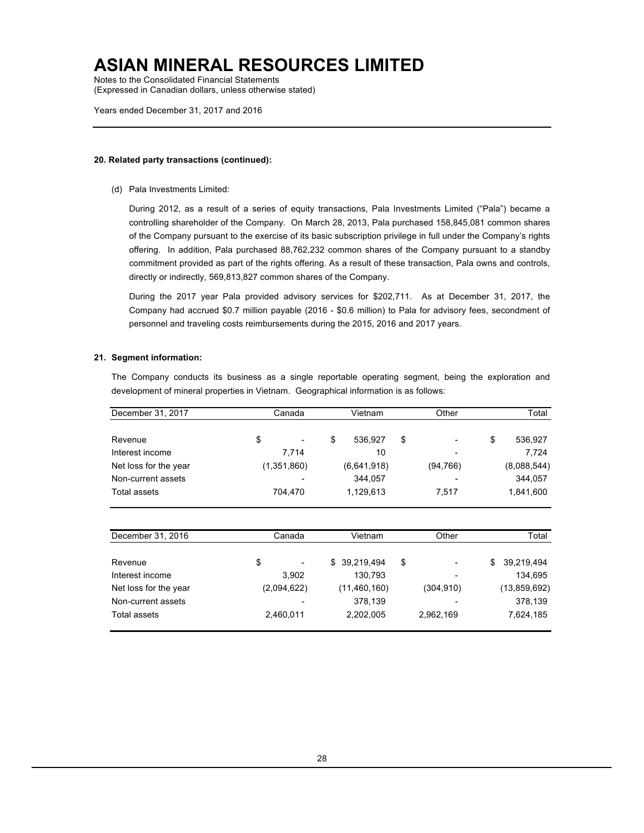Notes to the Consolidated Financial Statements (Expressed in Canadian dollars, unless otherwise stated)

Years ended December 31, 2017 and 2016

#### **20. Related party transactions (continued):**

(d) Pala Investments Limited:

During 2012, as a result of a series of equity transactions, Pala Investments Limited ("Pala") became a controlling shareholder of the Company. On March 28, 2013, Pala purchased 158,845,081 common shares of the Company pursuant to the exercise of its basic subscription privilege in full under the Company's rights offering. In addition, Pala purchased 88,762,232 common shares of the Company pursuant to a standby commitment provided as part of the rights offering. As a result of these transaction, Pala owns and controls, directly or indirectly, 569,813,827 common shares of the Company.

During the 2017 year Pala provided advisory services for \$202,711. As at December 31, 2017, the Company had accrued \$0.7 million payable (2016 - \$0.6 million) to Pala for advisory fees, secondment of personnel and traveling costs reimbursements during the 2015, 2016 and 2017 years.

### **21. Segment information:**

The Company conducts its business as a single reportable operating segment, being the exploration and development of mineral properties in Vietnam. Geographical information is as follows:

| December 31, 2017          | Canada<br>Vietnam |    |                       | Other |            | Total |                       |
|----------------------------|-------------------|----|-----------------------|-------|------------|-------|-----------------------|
| Revenue                    | \$                | \$ | 536,927               | \$    |            | \$    | 536,927               |
| Interest income            | 7,714             |    | 10                    |       |            |       | 7,724                 |
| Net loss for the year      | (1,351,860)       |    | (6,641,918)           |       | (94, 766)  |       | (8,088,544)           |
| Non-current assets         |                   |    | 344,057               |       |            |       | 344,057               |
| Total assets               | 704,470           |    | 1,129,613             |       | 7,517      |       | 1,841,600             |
| December 31, 2016          | Canada            |    | Vietnam               |       | Other      |       |                       |
|                            |                   |    |                       |       |            |       | Total                 |
| Revenue<br>Interest income | \$<br>3,902       | \$ | 39,219,494<br>130,793 | \$    |            | \$    | 39,219,494<br>134,695 |
| Net loss for the year      | (2,094,622)       |    | (11, 460, 160)        |       | (304, 910) |       | (13,859,692)          |
| Non-current assets         |                   |    | 378,139               |       |            |       | 378,139               |
| <b>Total assets</b>        | 2,460,011         |    | 2,202,005             |       | 2,962,169  |       | 7,624,185             |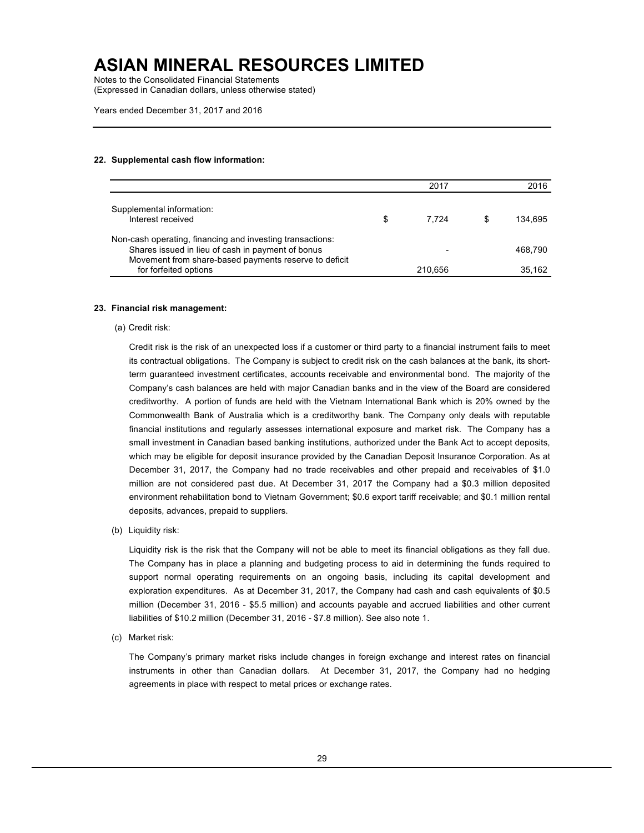Notes to the Consolidated Financial Statements (Expressed in Canadian dollars, unless otherwise stated)

Years ended December 31, 2017 and 2016

#### **22. Supplemental cash flow information:**

|                                                                                                                                                                         |   | 2017    | 2016    |
|-------------------------------------------------------------------------------------------------------------------------------------------------------------------------|---|---------|---------|
| Supplemental information:<br>Interest received                                                                                                                          | S | 7.724   | 134.695 |
| Non-cash operating, financing and investing transactions:<br>Shares issued in lieu of cash in payment of bonus<br>Movement from share-based payments reserve to deficit |   |         | 468.790 |
| for forfeited options                                                                                                                                                   |   | 210.656 | 35,162  |

### **23. Financial risk management:**

(a) Credit risk:

Credit risk is the risk of an unexpected loss if a customer or third party to a financial instrument fails to meet its contractual obligations. The Company is subject to credit risk on the cash balances at the bank, its shortterm guaranteed investment certificates, accounts receivable and environmental bond. The majority of the Company's cash balances are held with major Canadian banks and in the view of the Board are considered creditworthy. A portion of funds are held with the Vietnam International Bank which is 20% owned by the Commonwealth Bank of Australia which is a creditworthy bank. The Company only deals with reputable financial institutions and regularly assesses international exposure and market risk. The Company has a small investment in Canadian based banking institutions, authorized under the Bank Act to accept deposits, which may be eligible for deposit insurance provided by the Canadian Deposit Insurance Corporation. As at December 31, 2017, the Company had no trade receivables and other prepaid and receivables of \$1.0 million are not considered past due. At December 31, 2017 the Company had a \$0.3 million deposited environment rehabilitation bond to Vietnam Government; \$0.6 export tariff receivable; and \$0.1 million rental deposits, advances, prepaid to suppliers.

(b) Liquidity risk:

Liquidity risk is the risk that the Company will not be able to meet its financial obligations as they fall due. The Company has in place a planning and budgeting process to aid in determining the funds required to support normal operating requirements on an ongoing basis, including its capital development and exploration expenditures. As at December 31, 2017, the Company had cash and cash equivalents of \$0.5 million (December 31, 2016 - \$5.5 million) and accounts payable and accrued liabilities and other current liabilities of \$10.2 million (December 31, 2016 - \$7.8 million). See also note 1.

(c) Market risk:

The Company's primary market risks include changes in foreign exchange and interest rates on financial instruments in other than Canadian dollars. At December 31, 2017, the Company had no hedging agreements in place with respect to metal prices or exchange rates.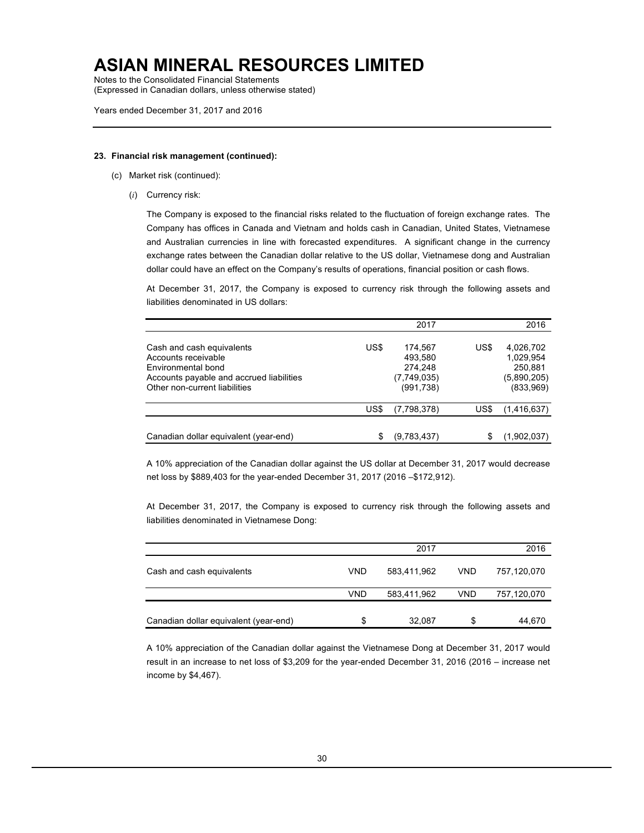Notes to the Consolidated Financial Statements (Expressed in Canadian dollars, unless otherwise stated)

Years ended December 31, 2017 and 2016

#### **23. Financial risk management (continued):**

- (c) Market risk (continued):
	- (*i*) Currency risk:

The Company is exposed to the financial risks related to the fluctuation of foreign exchange rates. The Company has offices in Canada and Vietnam and holds cash in Canadian, United States, Vietnamese and Australian currencies in line with forecasted expenditures. A significant change in the currency exchange rates between the Canadian dollar relative to the US dollar, Vietnamese dong and Australian dollar could have an effect on the Company's results of operations, financial position or cash flows.

At December 31, 2017, the Company is exposed to currency risk through the following assets and liabilities denominated in US dollars:

|                                                                                                                                                     |      | 2017                                                       |      | 2016                                                          |
|-----------------------------------------------------------------------------------------------------------------------------------------------------|------|------------------------------------------------------------|------|---------------------------------------------------------------|
| Cash and cash equivalents<br>Accounts receivable<br>Environmental bond<br>Accounts payable and accrued liabilities<br>Other non-current liabilities | US\$ | 174.567<br>493.580<br>274.248<br>(7,749,035)<br>(991, 738) | US\$ | 4,026,702<br>1,029,954<br>250.881<br>(5,890,205)<br>(833,969) |
|                                                                                                                                                     | US\$ | (7,798,378)                                                | US\$ | (1,416,637)                                                   |
| Canadian dollar equivalent (year-end)                                                                                                               | S.   | (9,783,437)                                                |      | (1,902,037)                                                   |

A 10% appreciation of the Canadian dollar against the US dollar at December 31, 2017 would decrease net loss by \$889,403 for the year-ended December 31, 2017 (2016 –\$172,912).

At December 31, 2017, the Company is exposed to currency risk through the following assets and liabilities denominated in Vietnamese Dong:

|                                       |     | 2017        |     | 2016        |
|---------------------------------------|-----|-------------|-----|-------------|
| Cash and cash equivalents             | VND | 583,411,962 | VND | 757,120,070 |
|                                       | VND | 583,411,962 | VND | 757,120,070 |
| Canadian dollar equivalent (year-end) | S   | 32,087      | S   | 44,670      |

A 10% appreciation of the Canadian dollar against the Vietnamese Dong at December 31, 2017 would result in an increase to net loss of \$3,209 for the year-ended December 31, 2016 (2016 – increase net income by \$4,467).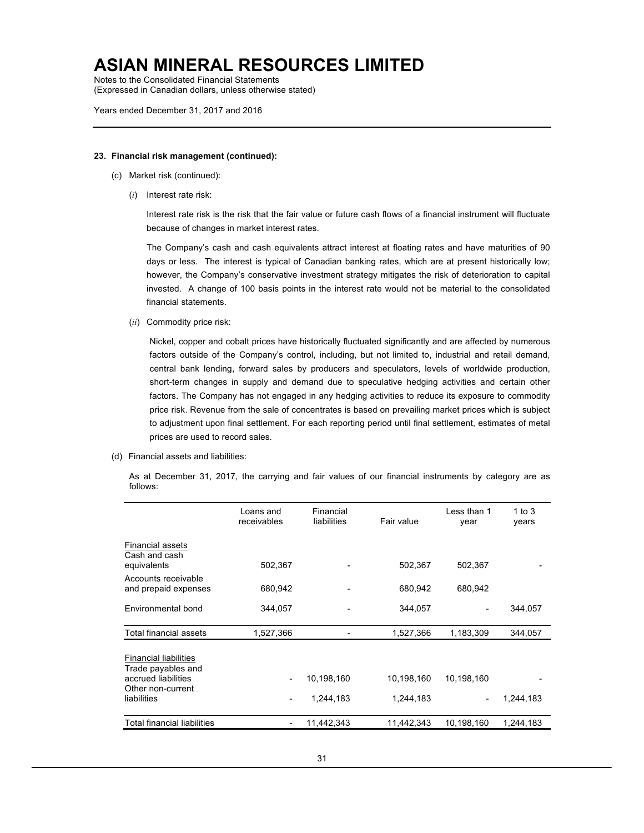Notes to the Consolidated Financial Statements (Expressed in Canadian dollars, unless otherwise stated)

Years ended December 31, 2017 and 2016

#### **23. Financial risk management (continued):**

- (c) Market risk (continued):
	- (*i*) Interest rate risk:

Interest rate risk is the risk that the fair value or future cash flows of a financial instrument will fluctuate because of changes in market interest rates.

The Company's cash and cash equivalents attract interest at floating rates and have maturities of 90 days or less. The interest is typical of Canadian banking rates, which are at present historically low; however, the Company's conservative investment strategy mitigates the risk of deterioration to capital invested. A change of 100 basis points in the interest rate would not be material to the consolidated financial statements.

(*ii*) Commodity price risk:

Nickel, copper and cobalt prices have historically fluctuated significantly and are affected by numerous factors outside of the Company's control, including, but not limited to, industrial and retail demand, central bank lending, forward sales by producers and speculators, levels of worldwide production, short-term changes in supply and demand due to speculative hedging activities and certain other factors. The Company has not engaged in any hedging activities to reduce its exposure to commodity price risk. Revenue from the sale of concentrates is based on prevailing market prices which is subject to adjustment upon final settlement. For each reporting period until final settlement, estimates of metal prices are used to record sales.

(d) Financial assets and liabilities:

As at December 31, 2017, the carrying and fair values of our financial instruments by category are as follows:

|                                                                                                               | Loans and<br>receivables | Financial<br>liabilities | Fair value              | Less than 1<br>year | 1 to $3$<br>years |
|---------------------------------------------------------------------------------------------------------------|--------------------------|--------------------------|-------------------------|---------------------|-------------------|
| <b>Financial assets</b><br>Cash and cash<br>equivalents                                                       | 502,367                  |                          | 502,367                 | 502,367             |                   |
| Accounts receivable<br>and prepaid expenses                                                                   | 680,942                  |                          | 680,942                 | 680,942             |                   |
| Environmental bond                                                                                            | 344,057                  |                          | 344.057                 |                     | 344,057           |
| <b>Total financial assets</b>                                                                                 | 1,527,366                |                          | 1,527,366               | 1,183,309           | 344,057           |
| <b>Financial liabilities</b><br>Trade payables and<br>accrued liabilities<br>Other non-current<br>liabilities |                          | 10,198,160<br>1,244,183  | 10,198,160<br>1,244,183 | 10,198,160          | 1,244,183         |
|                                                                                                               |                          |                          |                         |                     |                   |
| <b>Total financial liabilities</b>                                                                            |                          | 11.442.343               | 11,442,343              | 10.198.160          | 1,244,183         |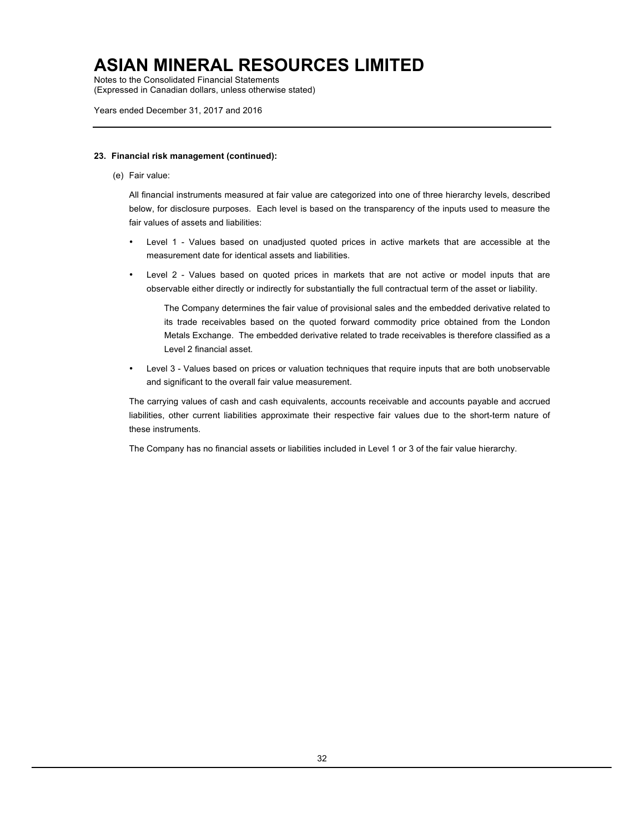Notes to the Consolidated Financial Statements (Expressed in Canadian dollars, unless otherwise stated)

Years ended December 31, 2017 and 2016

### **23. Financial risk management (continued):**

(e) Fair value:

All financial instruments measured at fair value are categorized into one of three hierarchy levels, described below, for disclosure purposes. Each level is based on the transparency of the inputs used to measure the fair values of assets and liabilities:

- Level 1 Values based on unadjusted quoted prices in active markets that are accessible at the measurement date for identical assets and liabilities.
- Level 2 Values based on quoted prices in markets that are not active or model inputs that are observable either directly or indirectly for substantially the full contractual term of the asset or liability.

The Company determines the fair value of provisional sales and the embedded derivative related to its trade receivables based on the quoted forward commodity price obtained from the London Metals Exchange. The embedded derivative related to trade receivables is therefore classified as a Level 2 financial asset.

• Level 3 - Values based on prices or valuation techniques that require inputs that are both unobservable and significant to the overall fair value measurement.

The carrying values of cash and cash equivalents, accounts receivable and accounts payable and accrued liabilities, other current liabilities approximate their respective fair values due to the short-term nature of these instruments.

The Company has no financial assets or liabilities included in Level 1 or 3 of the fair value hierarchy.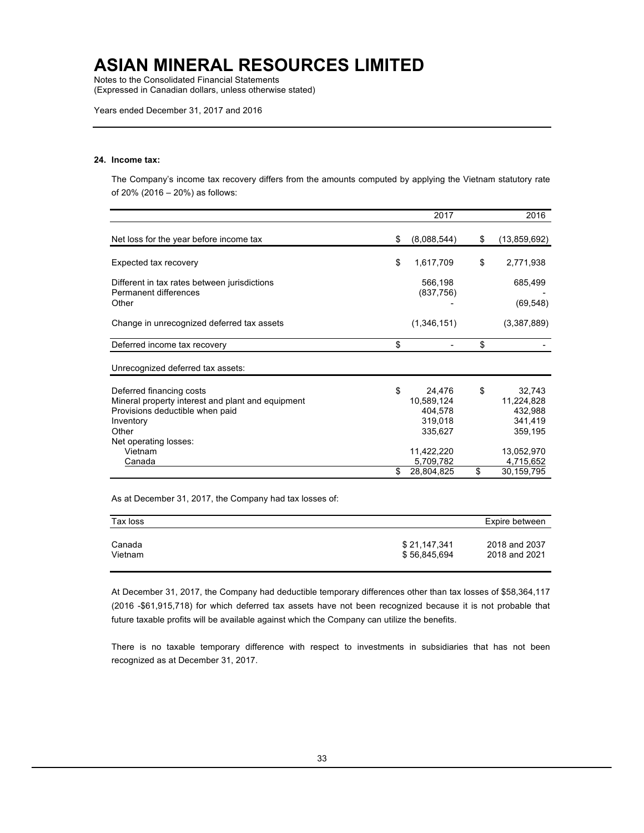Notes to the Consolidated Financial Statements (Expressed in Canadian dollars, unless otherwise stated)

Years ended December 31, 2017 and 2016

#### **24. Income tax:**

The Company's income tax recovery differs from the amounts computed by applying the Vietnam statutory rate of 20% (2016 – 20%) as follows:

|                                                                       | 2017                 | 2016               |
|-----------------------------------------------------------------------|----------------------|--------------------|
| Net loss for the year before income tax                               | \$<br>(8,088,544)    | \$<br>(13,859,692) |
| Expected tax recovery                                                 | \$<br>1,617,709      | \$<br>2,771,938    |
| Different in tax rates between jurisdictions<br>Permanent differences | 566,198<br>(837,756) | 685,499            |
| Other                                                                 |                      | (69, 548)          |
| Change in unrecognized deferred tax assets                            | (1,346,151)          | (3,387,889)        |
| Deferred income tax recovery                                          | \$                   | \$                 |
| Unrecognized deferred tax assets:                                     |                      |                    |
| Deferred financing costs                                              | \$<br>24,476         | \$<br>32,743       |
| Mineral property interest and plant and equipment                     | 10,589,124           | 11,224,828         |
| Provisions deductible when paid                                       | 404,578              | 432,988            |
| Inventory                                                             | 319,018              | 341,419            |
| Other                                                                 | 335,627              | 359,195            |
| Net operating losses:<br>Vietnam                                      | 11,422,220           | 13,052,970         |
| Canada                                                                | 5,709,782            | 4,715,652          |
|                                                                       | \$<br>28,804,825     | \$<br>30,159,795   |

As at December 31, 2017, the Company had tax losses of:

| Tax loss |              | Expire between |
|----------|--------------|----------------|
|          |              |                |
| Canada   | \$21.147.341 | 2018 and 2037  |
| Vietnam  | \$56.845.694 | 2018 and 2021  |
|          |              |                |

At December 31, 2017, the Company had deductible temporary differences other than tax losses of \$58,364,117 (2016 -\$61,915,718) for which deferred tax assets have not been recognized because it is not probable that future taxable profits will be available against which the Company can utilize the benefits.

There is no taxable temporary difference with respect to investments in subsidiaries that has not been recognized as at December 31, 2017.